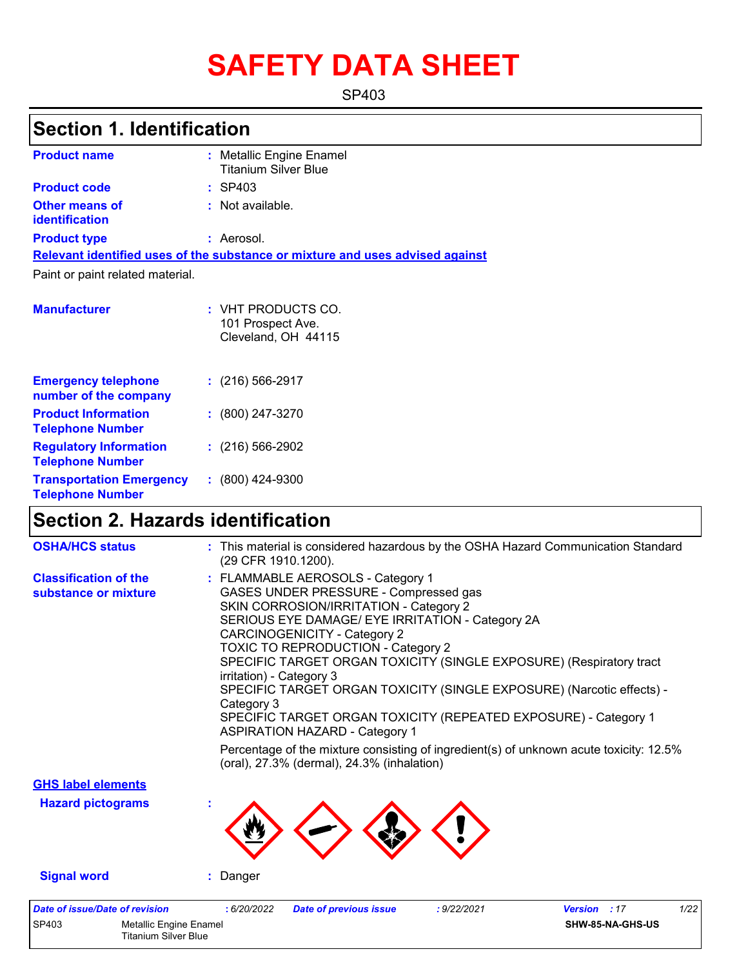# **SAFETY DATA SHEET**

SP403

## **Section 1. Identification**

| <b>Product name</b>                                 | : Metallic Engine Enamel<br><b>Titanium Silver Blue</b>                       |
|-----------------------------------------------------|-------------------------------------------------------------------------------|
| <b>Product code</b>                                 | $:$ SP403                                                                     |
| Other means of<br><b>identification</b>             | $:$ Not available.                                                            |
| <b>Product type</b>                                 | : Aerosol.                                                                    |
|                                                     | Relevant identified uses of the substance or mixture and uses advised against |
| Paint or paint related material.                    |                                                                               |
| <b>Manufacturer</b>                                 | : VHT PRODUCTS CO.<br>101 Prospect Ave.<br>Cleveland, OH 44115                |
| <b>Emergency telephone</b><br>number of the company | $\div$ (216) 566-2917                                                         |
| <b>Product Information</b>                          | (800) 247-3270                                                                |

| <b>Telephone Number</b>                                    |                      |
|------------------------------------------------------------|----------------------|
| <b>Regulatory Information</b><br><b>Telephone Number</b>   | $: (216) 566 - 2902$ |
| <b>Transportation Emergency</b><br><b>Telephone Number</b> | $: (800)$ 424-9300   |

## **Section 2. Hazards identification**

Titanium Silver Blue

| <b>OSHA/HCS status</b>                               | : This material is considered hazardous by the OSHA Hazard Communication Standard<br>(29 CFR 1910.1200).                                                                                                                                                                                                                                                                                                                                                                                                                                                                                                                                                                                                   |
|------------------------------------------------------|------------------------------------------------------------------------------------------------------------------------------------------------------------------------------------------------------------------------------------------------------------------------------------------------------------------------------------------------------------------------------------------------------------------------------------------------------------------------------------------------------------------------------------------------------------------------------------------------------------------------------------------------------------------------------------------------------------|
| <b>Classification of the</b><br>substance or mixture | : FLAMMABLE AEROSOLS - Category 1<br>GASES UNDER PRESSURE - Compressed gas<br>SKIN CORROSION/IRRITATION - Category 2<br>SERIOUS EYE DAMAGE/ EYE IRRITATION - Category 2A<br><b>CARCINOGENICITY - Category 2</b><br><b>TOXIC TO REPRODUCTION - Category 2</b><br>SPECIFIC TARGET ORGAN TOXICITY (SINGLE EXPOSURE) (Respiratory tract<br>irritation) - Category 3<br>SPECIFIC TARGET ORGAN TOXICITY (SINGLE EXPOSURE) (Narcotic effects) -<br>Category 3<br>SPECIFIC TARGET ORGAN TOXICITY (REPEATED EXPOSURE) - Category 1<br><b>ASPIRATION HAZARD - Category 1</b><br>Percentage of the mixture consisting of ingredient(s) of unknown acute toxicity: 12.5%<br>(oral), 27.3% (dermal), 24.3% (inhalation) |
| <b>GHS label elements</b>                            |                                                                                                                                                                                                                                                                                                                                                                                                                                                                                                                                                                                                                                                                                                            |
| <b>Hazard pictograms</b>                             |                                                                                                                                                                                                                                                                                                                                                                                                                                                                                                                                                                                                                                                                                                            |
| <b>Signal word</b>                                   | : Danger                                                                                                                                                                                                                                                                                                                                                                                                                                                                                                                                                                                                                                                                                                   |
| <b>Date of issue/Date of revision</b>                | 1/22<br>: 6/20/2022<br><b>Date of previous issue</b><br>: 9/22/2021<br><b>Version</b> : 17                                                                                                                                                                                                                                                                                                                                                                                                                                                                                                                                                                                                                 |
| SP403<br><b>Metallic Engine Enamel</b>               | SHW-85-NA-GHS-US                                                                                                                                                                                                                                                                                                                                                                                                                                                                                                                                                                                                                                                                                           |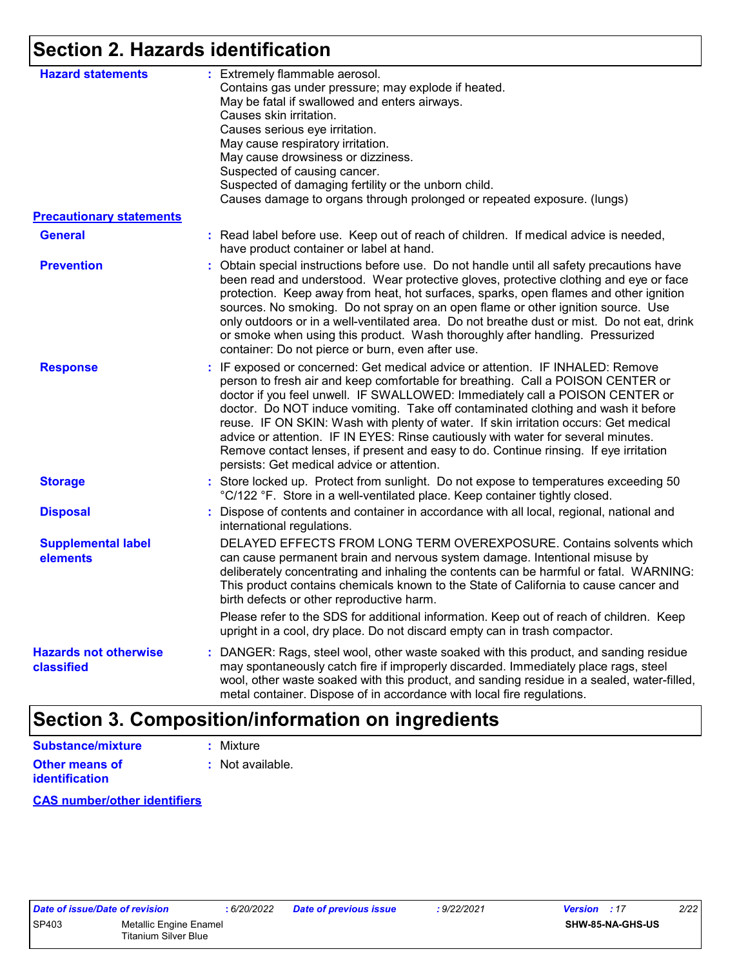## **Section 2. Hazards identification**

| <b>Hazard statements</b>                   | : Extremely flammable aerosol.<br>Contains gas under pressure; may explode if heated.<br>May be fatal if swallowed and enters airways.<br>Causes skin irritation.<br>Causes serious eye irritation.<br>May cause respiratory irritation.<br>May cause drowsiness or dizziness.<br>Suspected of causing cancer.<br>Suspected of damaging fertility or the unborn child.<br>Causes damage to organs through prolonged or repeated exposure. (lungs)                                                                                                                                                                                                          |
|--------------------------------------------|------------------------------------------------------------------------------------------------------------------------------------------------------------------------------------------------------------------------------------------------------------------------------------------------------------------------------------------------------------------------------------------------------------------------------------------------------------------------------------------------------------------------------------------------------------------------------------------------------------------------------------------------------------|
| <b>Precautionary statements</b>            |                                                                                                                                                                                                                                                                                                                                                                                                                                                                                                                                                                                                                                                            |
| <b>General</b>                             | : Read label before use. Keep out of reach of children. If medical advice is needed,<br>have product container or label at hand.                                                                                                                                                                                                                                                                                                                                                                                                                                                                                                                           |
| <b>Prevention</b>                          | : Obtain special instructions before use. Do not handle until all safety precautions have<br>been read and understood. Wear protective gloves, protective clothing and eye or face<br>protection. Keep away from heat, hot surfaces, sparks, open flames and other ignition<br>sources. No smoking. Do not spray on an open flame or other ignition source. Use<br>only outdoors or in a well-ventilated area. Do not breathe dust or mist. Do not eat, drink<br>or smoke when using this product. Wash thoroughly after handling. Pressurized<br>container: Do not pierce or burn, even after use.                                                        |
| <b>Response</b>                            | : IF exposed or concerned: Get medical advice or attention. IF INHALED: Remove<br>person to fresh air and keep comfortable for breathing. Call a POISON CENTER or<br>doctor if you feel unwell. IF SWALLOWED: Immediately call a POISON CENTER or<br>doctor. Do NOT induce vomiting. Take off contaminated clothing and wash it before<br>reuse. IF ON SKIN: Wash with plenty of water. If skin irritation occurs: Get medical<br>advice or attention. IF IN EYES: Rinse cautiously with water for several minutes.<br>Remove contact lenses, if present and easy to do. Continue rinsing. If eye irritation<br>persists: Get medical advice or attention. |
| <b>Storage</b>                             | : Store locked up. Protect from sunlight. Do not expose to temperatures exceeding 50<br>°C/122 °F. Store in a well-ventilated place. Keep container tightly closed.                                                                                                                                                                                                                                                                                                                                                                                                                                                                                        |
| <b>Disposal</b>                            | Dispose of contents and container in accordance with all local, regional, national and<br>international regulations.                                                                                                                                                                                                                                                                                                                                                                                                                                                                                                                                       |
| <b>Supplemental label</b><br>elements      | DELAYED EFFECTS FROM LONG TERM OVEREXPOSURE. Contains solvents which<br>can cause permanent brain and nervous system damage. Intentional misuse by<br>deliberately concentrating and inhaling the contents can be harmful or fatal. WARNING:<br>This product contains chemicals known to the State of California to cause cancer and<br>birth defects or other reproductive harm.                                                                                                                                                                                                                                                                          |
|                                            | Please refer to the SDS for additional information. Keep out of reach of children. Keep<br>upright in a cool, dry place. Do not discard empty can in trash compactor.                                                                                                                                                                                                                                                                                                                                                                                                                                                                                      |
| <b>Hazards not otherwise</b><br>classified | : DANGER: Rags, steel wool, other waste soaked with this product, and sanding residue<br>may spontaneously catch fire if improperly discarded. Immediately place rags, steel<br>wool, other waste soaked with this product, and sanding residue in a sealed, water-filled,<br>metal container. Dispose of in accordance with local fire regulations.                                                                                                                                                                                                                                                                                                       |

### **Section 3. Composition/information on ingredients**

#### **Other means of Substance/mixture**

**identification**

**:** Not available. **:** Mixture

**CAS number/other identifiers**

| Date of issue/Date of revision |                             |
|--------------------------------|-----------------------------|
| SP403                          | Metallic Engine Enamel      |
|                                | <b>Titanium Silver Blue</b> |

*Date of issue/Date of revision* **:** *6/20/2022 Date of previous issue : 9/22/2021 Version : 17 2/22*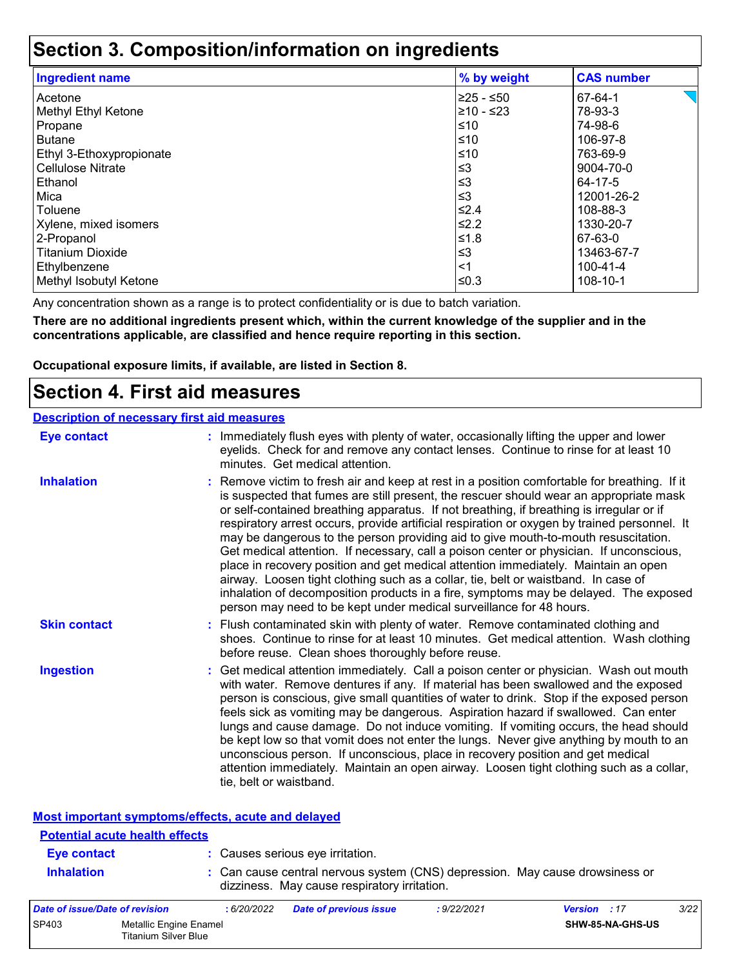### **Section 3. Composition/information on ingredients**

| <b>Ingredient name</b>   | % by weight | <b>CAS number</b> |
|--------------------------|-------------|-------------------|
| Acetone                  | l≥25 - ≤50  | 67-64-1           |
| Methyl Ethyl Ketone      | 210 - ≤23   | 78-93-3           |
| Propane                  | ≤10         | 74-98-6           |
| Butane                   | ≤10         | 106-97-8          |
| Ethyl 3-Ethoxypropionate | ≤10         | 763-69-9          |
| <b>Cellulose Nitrate</b> | $≤3$        | 9004-70-0         |
| Ethanol                  | ≤3          | 64-17-5           |
| Mica                     | $\leq$ 3    | 12001-26-2        |
| Toluene                  | ≤2.4        | 108-88-3          |
| Xylene, mixed isomers    | ≰2.2        | 1330-20-7         |
| 2-Propanol               | 1.8≤        | 67-63-0           |
| <b>Titanium Dioxide</b>  | ՝≤3         | 13463-67-7        |
| Ethylbenzene             | <1          | 100-41-4          |
| Methyl Isobutyl Ketone   | ≤0.3        | 108-10-1          |

Any concentration shown as a range is to protect confidentiality or is due to batch variation.

**There are no additional ingredients present which, within the current knowledge of the supplier and in the concentrations applicable, are classified and hence require reporting in this section.**

**Occupational exposure limits, if available, are listed in Section 8.**

### **Section 4. First aid measures**

|                     | <b>Description of necessary first aid measures</b>                                                                                                                                                                                                                                                                                                                                                                                                                                                                                                                                                                                                                                                                                                                                                                                                                                                             |
|---------------------|----------------------------------------------------------------------------------------------------------------------------------------------------------------------------------------------------------------------------------------------------------------------------------------------------------------------------------------------------------------------------------------------------------------------------------------------------------------------------------------------------------------------------------------------------------------------------------------------------------------------------------------------------------------------------------------------------------------------------------------------------------------------------------------------------------------------------------------------------------------------------------------------------------------|
| <b>Eye contact</b>  | : Immediately flush eyes with plenty of water, occasionally lifting the upper and lower<br>eyelids. Check for and remove any contact lenses. Continue to rinse for at least 10<br>minutes. Get medical attention.                                                                                                                                                                                                                                                                                                                                                                                                                                                                                                                                                                                                                                                                                              |
| <b>Inhalation</b>   | : Remove victim to fresh air and keep at rest in a position comfortable for breathing. If it<br>is suspected that fumes are still present, the rescuer should wear an appropriate mask<br>or self-contained breathing apparatus. If not breathing, if breathing is irregular or if<br>respiratory arrest occurs, provide artificial respiration or oxygen by trained personnel. It<br>may be dangerous to the person providing aid to give mouth-to-mouth resuscitation.<br>Get medical attention. If necessary, call a poison center or physician. If unconscious,<br>place in recovery position and get medical attention immediately. Maintain an open<br>airway. Loosen tight clothing such as a collar, tie, belt or waistband. In case of<br>inhalation of decomposition products in a fire, symptoms may be delayed. The exposed<br>person may need to be kept under medical surveillance for 48 hours. |
| <b>Skin contact</b> | : Flush contaminated skin with plenty of water. Remove contaminated clothing and<br>shoes. Continue to rinse for at least 10 minutes. Get medical attention. Wash clothing<br>before reuse. Clean shoes thoroughly before reuse.                                                                                                                                                                                                                                                                                                                                                                                                                                                                                                                                                                                                                                                                               |
| <b>Ingestion</b>    | : Get medical attention immediately. Call a poison center or physician. Wash out mouth<br>with water. Remove dentures if any. If material has been swallowed and the exposed<br>person is conscious, give small quantities of water to drink. Stop if the exposed person<br>feels sick as vomiting may be dangerous. Aspiration hazard if swallowed. Can enter<br>lungs and cause damage. Do not induce vomiting. If vomiting occurs, the head should<br>be kept low so that vomit does not enter the lungs. Never give anything by mouth to an<br>unconscious person. If unconscious, place in recovery position and get medical<br>attention immediately. Maintain an open airway. Loosen tight clothing such as a collar,<br>tie, belt or waistband.                                                                                                                                                        |

| <b>Most important symptoms/effects, acute and delayed</b> |             |                                              |             |                                                                              |     |
|-----------------------------------------------------------|-------------|----------------------------------------------|-------------|------------------------------------------------------------------------------|-----|
| <b>Potential acute health effects</b>                     |             |                                              |             |                                                                              |     |
| Eye contact                                               |             | : Causes serious eye irritation.             |             |                                                                              |     |
| <b>Inhalation</b>                                         |             | dizziness. May cause respiratory irritation. |             | : Can cause central nervous system (CNS) depression. May cause drowsiness or |     |
| Date of issue/Date of revision                            | : 6/20/2022 | Date of previous issue                       | : 9/22/2021 | <b>Version</b> : 17                                                          | 3/2 |

| Date of issue/Date of revision |                                                | : 6/20/2022 | <b>Date of previous issue</b> | : 9/22/2021 | <b>Version</b> : 17 |                  | 3/22 |
|--------------------------------|------------------------------------------------|-------------|-------------------------------|-------------|---------------------|------------------|------|
| SP403                          | Metallic Engine Enamel<br>Titanium Silver Blue |             |                               |             |                     | SHW-85-NA-GHS-US |      |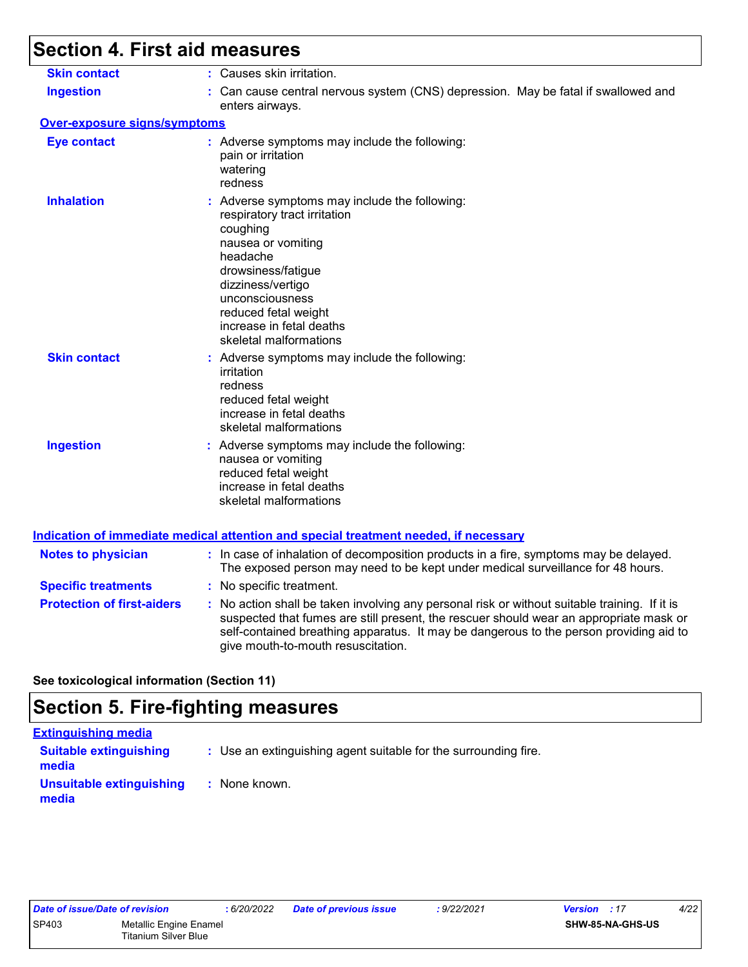## **Section 4. First aid measures**

| <b>Skin contact</b>                 | : Causes skin irritation.                                                                                                                                                                                                                                                                                               |
|-------------------------------------|-------------------------------------------------------------------------------------------------------------------------------------------------------------------------------------------------------------------------------------------------------------------------------------------------------------------------|
| <b>Ingestion</b>                    | : Can cause central nervous system (CNS) depression. May be fatal if swallowed and<br>enters airways.                                                                                                                                                                                                                   |
| <b>Over-exposure signs/symptoms</b> |                                                                                                                                                                                                                                                                                                                         |
| <b>Eye contact</b>                  | : Adverse symptoms may include the following:<br>pain or irritation<br>watering<br>redness                                                                                                                                                                                                                              |
| <b>Inhalation</b>                   | : Adverse symptoms may include the following:<br>respiratory tract irritation<br>coughing<br>nausea or vomiting<br>headache<br>drowsiness/fatigue<br>dizziness/vertigo<br>unconsciousness<br>reduced fetal weight<br>increase in fetal deaths<br>skeletal malformations                                                 |
| <b>Skin contact</b>                 | : Adverse symptoms may include the following:<br>irritation<br>redness<br>reduced fetal weight<br>increase in fetal deaths<br>skeletal malformations                                                                                                                                                                    |
| <b>Ingestion</b>                    | : Adverse symptoms may include the following:<br>nausea or vomiting<br>reduced fetal weight<br>increase in fetal deaths<br>skeletal malformations                                                                                                                                                                       |
|                                     | <b>Indication of immediate medical attention and special treatment needed, if necessary</b>                                                                                                                                                                                                                             |
| <b>Notes to physician</b>           | : In case of inhalation of decomposition products in a fire, symptoms may be delayed.<br>The exposed person may need to be kept under medical surveillance for 48 hours.                                                                                                                                                |
| <b>Specific treatments</b>          | : No specific treatment.                                                                                                                                                                                                                                                                                                |
| <b>Protection of first-aiders</b>   | : No action shall be taken involving any personal risk or without suitable training. If it is<br>suspected that fumes are still present, the rescuer should wear an appropriate mask or<br>self-contained breathing apparatus. It may be dangerous to the person providing aid to<br>give mouth-to-mouth resuscitation. |

#### **See toxicological information (Section 11)**

## **Section 5. Fire-fighting measures**

| <b>Extinguishing media</b>             |                                                                 |
|----------------------------------------|-----------------------------------------------------------------|
| <b>Suitable extinguishing</b><br>media | : Use an extinguishing agent suitable for the surrounding fire. |
| Unsuitable extinguishing<br>media      | : None known.                                                   |

| Date of issue/Date of revision |                             | :6/20 |
|--------------------------------|-----------------------------|-------|
| SP403                          | Metallic Engine Enamel      |       |
|                                | <b>Titanium Silver Blue</b> |       |

*Date of issue/Date of revision* **:** *6/20/2022 Date of previous issue : 9/22/2021 Version : 17 4/22*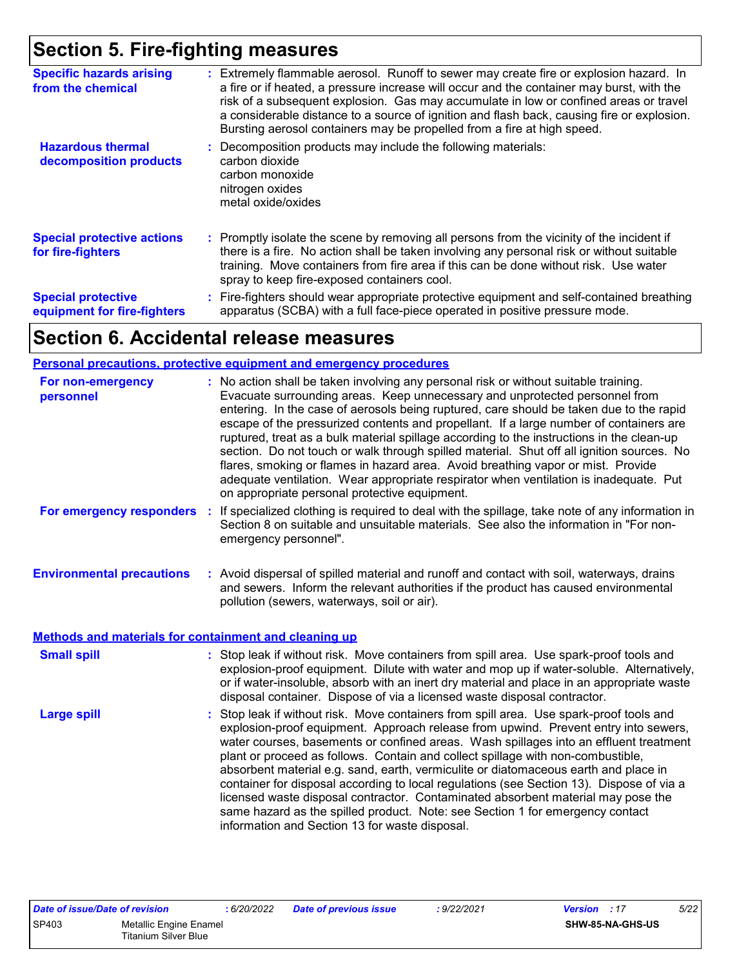## **Section 5. Fire-fighting measures**

| <b>Specific hazards arising</b><br>from the chemical     | : Extremely flammable aerosol. Runoff to sewer may create fire or explosion hazard. In<br>a fire or if heated, a pressure increase will occur and the container may burst, with the<br>risk of a subsequent explosion. Gas may accumulate in low or confined areas or travel<br>a considerable distance to a source of ignition and flash back, causing fire or explosion.<br>Bursting aerosol containers may be propelled from a fire at high speed. |
|----------------------------------------------------------|-------------------------------------------------------------------------------------------------------------------------------------------------------------------------------------------------------------------------------------------------------------------------------------------------------------------------------------------------------------------------------------------------------------------------------------------------------|
| <b>Hazardous thermal</b><br>decomposition products       | : Decomposition products may include the following materials:<br>carbon dioxide<br>carbon monoxide<br>nitrogen oxides<br>metal oxide/oxides                                                                                                                                                                                                                                                                                                           |
| <b>Special protective actions</b><br>for fire-fighters   | : Promptly isolate the scene by removing all persons from the vicinity of the incident if<br>there is a fire. No action shall be taken involving any personal risk or without suitable<br>training. Move containers from fire area if this can be done without risk. Use water<br>spray to keep fire-exposed containers cool.                                                                                                                         |
| <b>Special protective</b><br>equipment for fire-fighters | : Fire-fighters should wear appropriate protective equipment and self-contained breathing<br>apparatus (SCBA) with a full face-piece operated in positive pressure mode.                                                                                                                                                                                                                                                                              |

### **Section 6. Accidental release measures**

#### **Personal precautions, protective equipment and emergency procedures**

| : No action shall be taken involving any personal risk or without suitable training.<br>Evacuate surrounding areas. Keep unnecessary and unprotected personnel from<br>entering. In the case of aerosols being ruptured, care should be taken due to the rapid<br>escape of the pressurized contents and propellant. If a large number of containers are<br>ruptured, treat as a bulk material spillage according to the instructions in the clean-up<br>section. Do not touch or walk through spilled material. Shut off all ignition sources. No<br>flares, smoking or flames in hazard area. Avoid breathing vapor or mist. Provide<br>adequate ventilation. Wear appropriate respirator when ventilation is inadequate. Put<br>on appropriate personal protective equipment. |
|----------------------------------------------------------------------------------------------------------------------------------------------------------------------------------------------------------------------------------------------------------------------------------------------------------------------------------------------------------------------------------------------------------------------------------------------------------------------------------------------------------------------------------------------------------------------------------------------------------------------------------------------------------------------------------------------------------------------------------------------------------------------------------|
| If specialized clothing is required to deal with the spillage, take note of any information in<br>÷<br>Section 8 on suitable and unsuitable materials. See also the information in "For non-<br>emergency personnel".                                                                                                                                                                                                                                                                                                                                                                                                                                                                                                                                                            |
| : Avoid dispersal of spilled material and runoff and contact with soil, waterways, drains<br>and sewers. Inform the relevant authorities if the product has caused environmental<br>pollution (sewers, waterways, soil or air).                                                                                                                                                                                                                                                                                                                                                                                                                                                                                                                                                  |
| <b>Methods and materials for containment and cleaning up</b>                                                                                                                                                                                                                                                                                                                                                                                                                                                                                                                                                                                                                                                                                                                     |
| : Stop leak if without risk. Move containers from spill area. Use spark-proof tools and<br>explosion-proof equipment. Dilute with water and mop up if water-soluble. Alternatively,<br>or if water-insoluble, absorb with an inert dry material and place in an appropriate waste<br>disposal container. Dispose of via a licensed waste disposal contractor.                                                                                                                                                                                                                                                                                                                                                                                                                    |
| : Stop leak if without risk. Move containers from spill area. Use spark-proof tools and<br>explosion-proof equipment. Approach release from upwind. Prevent entry into sewers,<br>water courses, basements or confined areas. Wash spillages into an effluent treatment<br>plant or proceed as follows. Contain and collect spillage with non-combustible,<br>absorbent material e.g. sand, earth, vermiculite or diatomaceous earth and place in<br>container for disposal according to local regulations (see Section 13). Dispose of via a<br>licensed waste disposal contractor. Contaminated absorbent material may pose the<br>same hazard as the spilled product. Note: see Section 1 for emergency contact<br>information and Section 13 for waste disposal.             |
|                                                                                                                                                                                                                                                                                                                                                                                                                                                                                                                                                                                                                                                                                                                                                                                  |

| Date of issue/Date of revision |                                                | 6/20/2022 | <b>Date of previous issue</b> | 9/22/2021 | <b>Version</b> : 17 | 5/22 |
|--------------------------------|------------------------------------------------|-----------|-------------------------------|-----------|---------------------|------|
| <b>SP403</b>                   | Metallic Engine Enamel<br>Titanium Silver Blue |           |                               |           | SHW-85-NA-GHS-US    |      |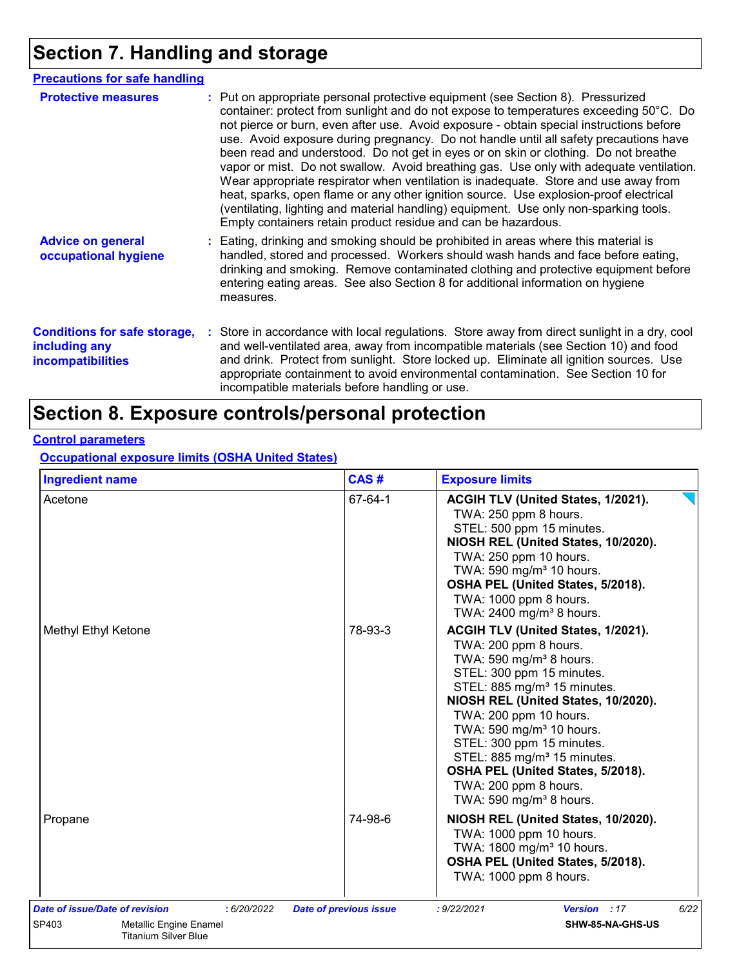## **Section 7. Handling and storage**

| <b>Precautions for safe handling</b>                                             |                                                                                                                                                                                                                                                                                                                                                                                                                                                                                                                                                                                                                                                                                                                                                                                                                                                                                          |
|----------------------------------------------------------------------------------|------------------------------------------------------------------------------------------------------------------------------------------------------------------------------------------------------------------------------------------------------------------------------------------------------------------------------------------------------------------------------------------------------------------------------------------------------------------------------------------------------------------------------------------------------------------------------------------------------------------------------------------------------------------------------------------------------------------------------------------------------------------------------------------------------------------------------------------------------------------------------------------|
| <b>Protective measures</b>                                                       | : Put on appropriate personal protective equipment (see Section 8). Pressurized<br>container: protect from sunlight and do not expose to temperatures exceeding 50°C. Do<br>not pierce or burn, even after use. Avoid exposure - obtain special instructions before<br>use. Avoid exposure during pregnancy. Do not handle until all safety precautions have<br>been read and understood. Do not get in eyes or on skin or clothing. Do not breathe<br>vapor or mist. Do not swallow. Avoid breathing gas. Use only with adequate ventilation.<br>Wear appropriate respirator when ventilation is inadequate. Store and use away from<br>heat, sparks, open flame or any other ignition source. Use explosion-proof electrical<br>(ventilating, lighting and material handling) equipment. Use only non-sparking tools.<br>Empty containers retain product residue and can be hazardous. |
| <b>Advice on general</b><br>occupational hygiene                                 | : Eating, drinking and smoking should be prohibited in areas where this material is<br>handled, stored and processed. Workers should wash hands and face before eating,<br>drinking and smoking. Remove contaminated clothing and protective equipment before<br>entering eating areas. See also Section 8 for additional information on hygiene<br>measures.                                                                                                                                                                                                                                                                                                                                                                                                                                                                                                                            |
| <b>Conditions for safe storage,</b><br>including any<br><b>incompatibilities</b> | : Store in accordance with local regulations. Store away from direct sunlight in a dry, cool<br>and well-ventilated area, away from incompatible materials (see Section 10) and food<br>and drink. Protect from sunlight. Store locked up. Eliminate all ignition sources. Use<br>appropriate containment to avoid environmental contamination. See Section 10 for<br>incompatible materials before handling or use.                                                                                                                                                                                                                                                                                                                                                                                                                                                                     |

## **Section 8. Exposure controls/personal protection**

### **Control parameters**

**Occupational exposure limits (OSHA United States)**

| <b>Ingredient name</b>                                                                                                 | CAS#                          | <b>Exposure limits</b>                                                                                                                                                                                                                                                                                                                                                                                                                                           |
|------------------------------------------------------------------------------------------------------------------------|-------------------------------|------------------------------------------------------------------------------------------------------------------------------------------------------------------------------------------------------------------------------------------------------------------------------------------------------------------------------------------------------------------------------------------------------------------------------------------------------------------|
| Acetone                                                                                                                | 67-64-1                       | ACGIH TLV (United States, 1/2021).<br>TWA: 250 ppm 8 hours.<br>STEL: 500 ppm 15 minutes.<br>NIOSH REL (United States, 10/2020).<br>TWA: 250 ppm 10 hours.<br>TWA: 590 mg/m <sup>3</sup> 10 hours.<br>OSHA PEL (United States, 5/2018).<br>TWA: 1000 ppm 8 hours.<br>TWA: 2400 mg/m <sup>3</sup> 8 hours.                                                                                                                                                         |
| Methyl Ethyl Ketone                                                                                                    | 78-93-3                       | ACGIH TLV (United States, 1/2021).<br>TWA: 200 ppm 8 hours.<br>TWA: 590 mg/m <sup>3</sup> 8 hours.<br>STEL: 300 ppm 15 minutes.<br>STEL: 885 mg/m <sup>3</sup> 15 minutes.<br>NIOSH REL (United States, 10/2020).<br>TWA: 200 ppm 10 hours.<br>TWA: 590 mg/m <sup>3</sup> 10 hours.<br>STEL: 300 ppm 15 minutes.<br>STEL: 885 mg/m <sup>3</sup> 15 minutes.<br>OSHA PEL (United States, 5/2018).<br>TWA: 200 ppm 8 hours.<br>TWA: 590 mg/m <sup>3</sup> 8 hours. |
| Propane                                                                                                                | 74-98-6                       | NIOSH REL (United States, 10/2020).<br>TWA: 1000 ppm 10 hours.<br>TWA: 1800 mg/m <sup>3</sup> 10 hours.<br>OSHA PEL (United States, 5/2018).<br>TWA: 1000 ppm 8 hours.                                                                                                                                                                                                                                                                                           |
| Date of issue/Date of revision<br>: 6/20/2022<br>SP403<br><b>Metallic Engine Enamel</b><br><b>Titanium Silver Blue</b> | <b>Date of previous issue</b> | 6/22<br>: 9/22/2021<br>Version : 17<br>SHW-85-NA-GHS-US                                                                                                                                                                                                                                                                                                                                                                                                          |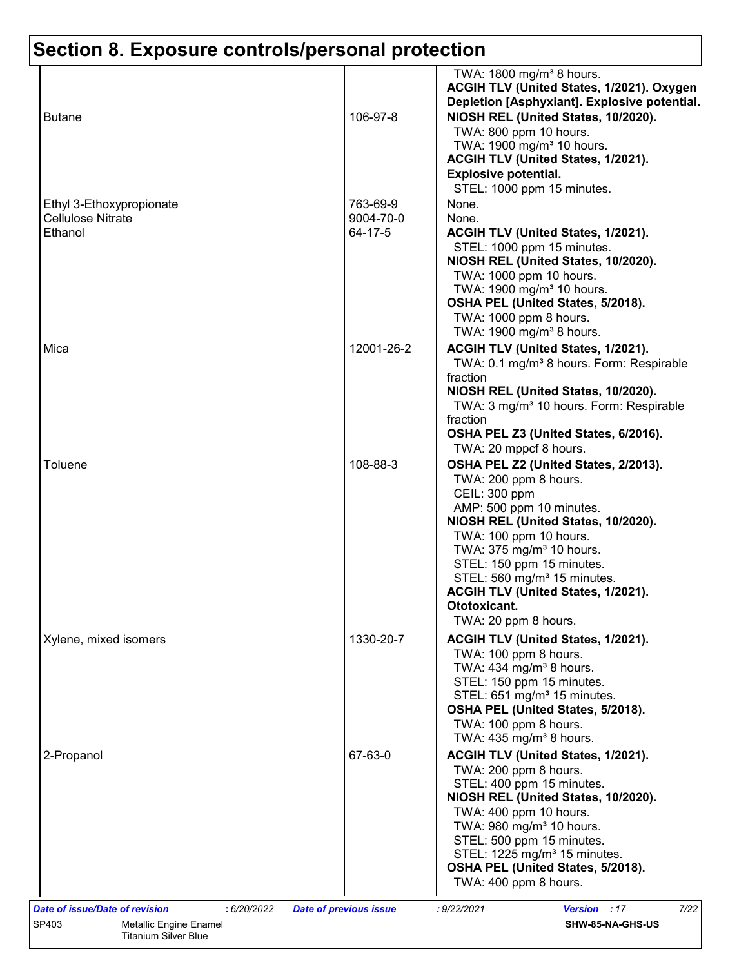| <b>Butane</b>                                                   | 106-97-8                         | TWA: 1800 mg/m <sup>3</sup> 8 hours.<br>ACGIH TLV (United States, 1/2021). Oxygen<br>Depletion [Asphyxiant]. Explosive potential.<br>NIOSH REL (United States, 10/2020).<br>TWA: 800 ppm 10 hours.<br>TWA: 1900 mg/m <sup>3</sup> 10 hours.<br>ACGIH TLV (United States, 1/2021).<br><b>Explosive potential.</b>                                                          |
|-----------------------------------------------------------------|----------------------------------|---------------------------------------------------------------------------------------------------------------------------------------------------------------------------------------------------------------------------------------------------------------------------------------------------------------------------------------------------------------------------|
| Ethyl 3-Ethoxypropionate<br><b>Cellulose Nitrate</b><br>Ethanol | 763-69-9<br>9004-70-0<br>64-17-5 | STEL: 1000 ppm 15 minutes.<br>None.<br>None.<br>ACGIH TLV (United States, 1/2021).<br>STEL: 1000 ppm 15 minutes.<br>NIOSH REL (United States, 10/2020).<br>TWA: 1000 ppm 10 hours.<br>TWA: 1900 mg/m <sup>3</sup> 10 hours.<br>OSHA PEL (United States, 5/2018).<br>TWA: 1000 ppm 8 hours.<br>TWA: 1900 mg/m <sup>3</sup> 8 hours.                                        |
| Mica                                                            | 12001-26-2                       | ACGIH TLV (United States, 1/2021).<br>TWA: 0.1 mg/m <sup>3</sup> 8 hours. Form: Respirable<br>fraction<br>NIOSH REL (United States, 10/2020).<br>TWA: 3 mg/m <sup>3</sup> 10 hours. Form: Respirable<br>fraction<br>OSHA PEL Z3 (United States, 6/2016).<br>TWA: 20 mppcf 8 hours.                                                                                        |
| Toluene                                                         | 108-88-3                         | OSHA PEL Z2 (United States, 2/2013).<br>TWA: 200 ppm 8 hours.<br>CEIL: 300 ppm<br>AMP: 500 ppm 10 minutes.<br>NIOSH REL (United States, 10/2020).<br>TWA: 100 ppm 10 hours.<br>TWA: 375 mg/m <sup>3</sup> 10 hours.<br>STEL: 150 ppm 15 minutes.<br>STEL: 560 mg/m <sup>3</sup> 15 minutes.<br>ACGIH TLV (United States, 1/2021).<br>Ototoxicant.<br>TWA: 20 ppm 8 hours. |
| Xylene, mixed isomers                                           | 1330-20-7                        | ACGIH TLV (United States, 1/2021).<br>TWA: 100 ppm 8 hours.<br>TWA: 434 mg/m <sup>3</sup> 8 hours.<br>STEL: 150 ppm 15 minutes.<br>STEL: 651 mg/m <sup>3</sup> 15 minutes.<br>OSHA PEL (United States, 5/2018).<br>TWA: 100 ppm 8 hours.<br>TWA: $435 \text{ mg/m}^3$ 8 hours.                                                                                            |
| 2-Propanol                                                      | 67-63-0                          | ACGIH TLV (United States, 1/2021).<br>TWA: 200 ppm 8 hours.<br>STEL: 400 ppm 15 minutes.<br>NIOSH REL (United States, 10/2020).<br>TWA: 400 ppm 10 hours.<br>TWA: 980 mg/m <sup>3</sup> 10 hours.<br>STEL: 500 ppm 15 minutes.<br>STEL: 1225 mg/m <sup>3</sup> 15 minutes.<br>OSHA PEL (United States, 5/2018).<br>TWA: 400 ppm 8 hours.                                  |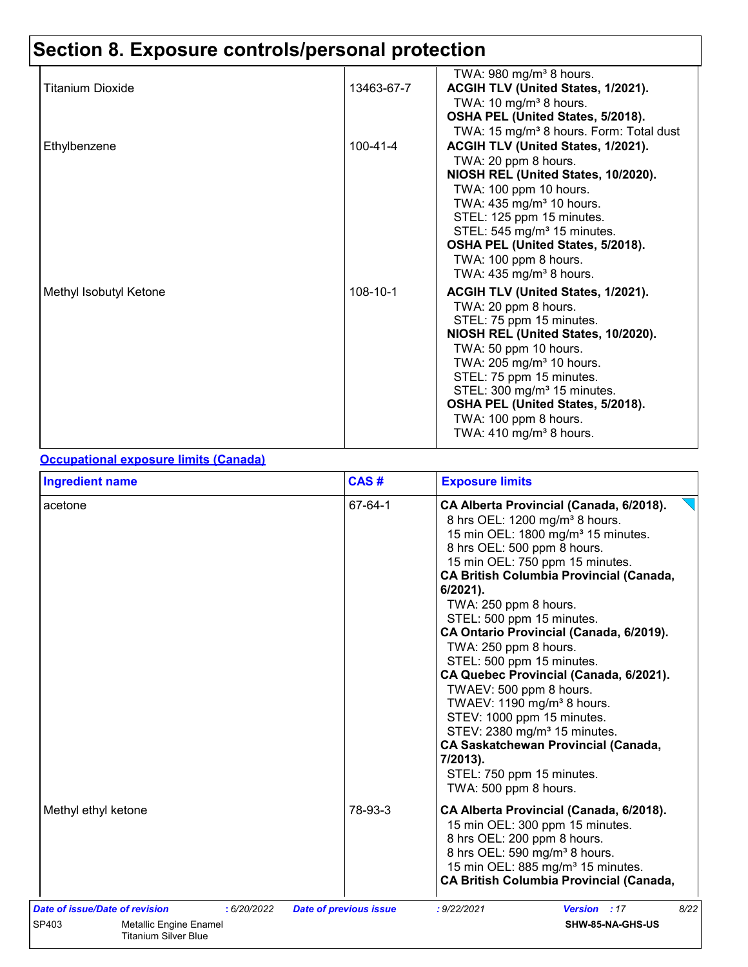|                        |                | TWA: $980 \text{ mg/m}^3$ 8 hours.                                      |
|------------------------|----------------|-------------------------------------------------------------------------|
| Titanium Dioxide       | 13463-67-7     | ACGIH TLV (United States, 1/2021).<br>TWA: $10 \text{ mg/m}^3$ 8 hours. |
|                        |                | OSHA PEL (United States, 5/2018).                                       |
|                        |                | TWA: 15 mg/m <sup>3</sup> 8 hours. Form: Total dust                     |
| Ethylbenzene           | $100 - 41 - 4$ | ACGIH TLV (United States, 1/2021).                                      |
|                        |                | TWA: 20 ppm 8 hours.                                                    |
|                        |                | NIOSH REL (United States, 10/2020).                                     |
|                        |                | TWA: 100 ppm 10 hours.                                                  |
|                        |                | TWA: 435 mg/m <sup>3</sup> 10 hours.                                    |
|                        |                | STEL: 125 ppm 15 minutes.                                               |
|                        |                | STEL: 545 mg/m <sup>3</sup> 15 minutes.                                 |
|                        |                | OSHA PEL (United States, 5/2018).                                       |
|                        |                | TWA: 100 ppm 8 hours.                                                   |
|                        |                | TWA: $435 \text{ mg/m}^3$ 8 hours.                                      |
| Methyl Isobutyl Ketone | 108-10-1       | ACGIH TLV (United States, 1/2021).                                      |
|                        |                | TWA: 20 ppm 8 hours.                                                    |
|                        |                | STEL: 75 ppm 15 minutes.<br>NIOSH REL (United States, 10/2020).         |
|                        |                | TWA: 50 ppm 10 hours.                                                   |
|                        |                | TWA: 205 mg/m <sup>3</sup> 10 hours.                                    |
|                        |                | STEL: 75 ppm 15 minutes.                                                |
|                        |                | STEL: 300 mg/m <sup>3</sup> 15 minutes.                                 |
|                        |                | OSHA PEL (United States, 5/2018).                                       |
|                        |                | TWA: 100 ppm 8 hours.                                                   |
|                        |                | TWA: $410 \text{ mg/m}^3$ 8 hours.                                      |
|                        |                |                                                                         |

#### **Occupational exposure limits (Canada)**

| <b>Ingredient name</b>                                                                                                 | CAS#                          | <b>Exposure limits</b>                                                                                                                                                                                                                                                                                                                                                                                                                                                                                                                                                                                                                                                                                                                     |
|------------------------------------------------------------------------------------------------------------------------|-------------------------------|--------------------------------------------------------------------------------------------------------------------------------------------------------------------------------------------------------------------------------------------------------------------------------------------------------------------------------------------------------------------------------------------------------------------------------------------------------------------------------------------------------------------------------------------------------------------------------------------------------------------------------------------------------------------------------------------------------------------------------------------|
| acetone                                                                                                                | 67-64-1                       | CA Alberta Provincial (Canada, 6/2018).<br>8 hrs OEL: 1200 mg/m <sup>3</sup> 8 hours.<br>15 min OEL: 1800 mg/m <sup>3</sup> 15 minutes.<br>8 hrs OEL: 500 ppm 8 hours.<br>15 min OEL: 750 ppm 15 minutes.<br><b>CA British Columbia Provincial (Canada,</b><br>$6/2021$ ).<br>TWA: 250 ppm 8 hours.<br>STEL: 500 ppm 15 minutes.<br>CA Ontario Provincial (Canada, 6/2019).<br>TWA: 250 ppm 8 hours.<br>STEL: 500 ppm 15 minutes.<br>CA Quebec Provincial (Canada, 6/2021).<br>TWAEV: 500 ppm 8 hours.<br>TWAEV: 1190 mg/m <sup>3</sup> 8 hours.<br>STEV: 1000 ppm 15 minutes.<br>STEV: 2380 mg/m <sup>3</sup> 15 minutes.<br><b>CA Saskatchewan Provincial (Canada,</b><br>7/2013).<br>STEL: 750 ppm 15 minutes.<br>TWA: 500 ppm 8 hours. |
| Methyl ethyl ketone                                                                                                    | 78-93-3                       | CA Alberta Provincial (Canada, 6/2018).<br>15 min OEL: 300 ppm 15 minutes.<br>8 hrs OEL: 200 ppm 8 hours.<br>8 hrs OEL: 590 mg/m <sup>3</sup> 8 hours.<br>15 min OEL: 885 mg/m <sup>3</sup> 15 minutes.<br><b>CA British Columbia Provincial (Canada,</b>                                                                                                                                                                                                                                                                                                                                                                                                                                                                                  |
| Date of issue/Date of revision<br>: 6/20/2022<br>SP403<br><b>Metallic Engine Enamel</b><br><b>Titanium Silver Blue</b> | <b>Date of previous issue</b> | 8/22<br>Version : 17<br>: 9/22/2021<br>SHW-85-NA-GHS-US                                                                                                                                                                                                                                                                                                                                                                                                                                                                                                                                                                                                                                                                                    |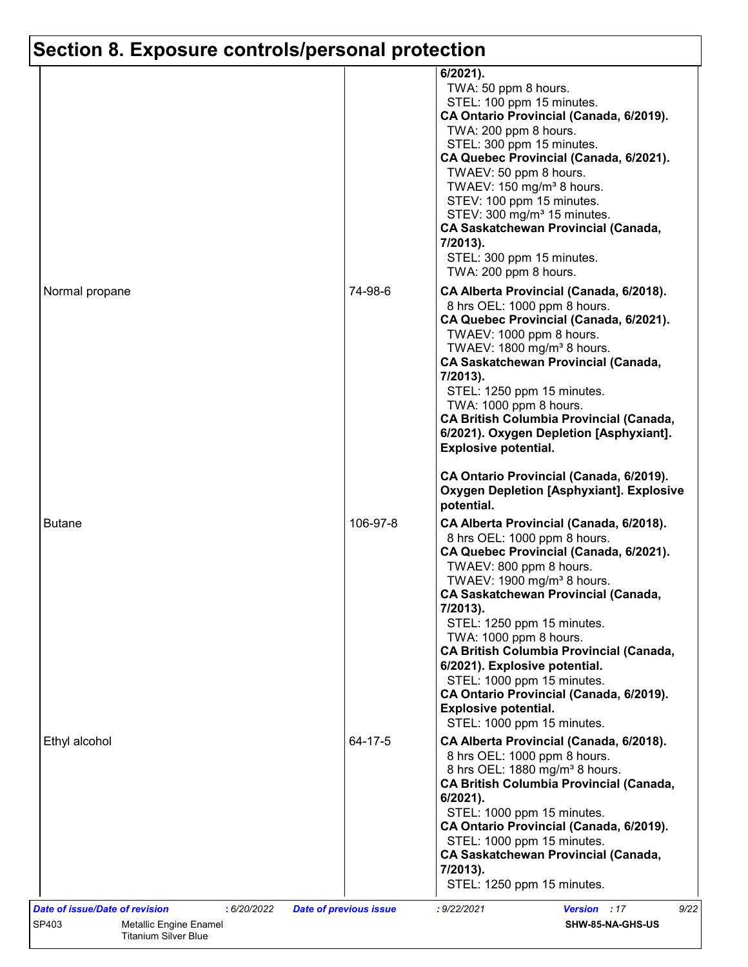|                |          | $6/2021$ ).<br>TWA: 50 ppm 8 hours.<br>STEL: 100 ppm 15 minutes.<br>CA Ontario Provincial (Canada, 6/2019).<br>TWA: 200 ppm 8 hours.<br>STEL: 300 ppm 15 minutes.<br>CA Quebec Provincial (Canada, 6/2021).<br>TWAEV: 50 ppm 8 hours.<br>TWAEV: 150 mg/m <sup>3</sup> 8 hours.<br>STEV: 100 ppm 15 minutes.<br>STEV: 300 mg/m <sup>3</sup> 15 minutes.<br><b>CA Saskatchewan Provincial (Canada,</b><br>7/2013).<br>STEL: 300 ppm 15 minutes.<br>TWA: 200 ppm 8 hours.                                                            |
|----------------|----------|-----------------------------------------------------------------------------------------------------------------------------------------------------------------------------------------------------------------------------------------------------------------------------------------------------------------------------------------------------------------------------------------------------------------------------------------------------------------------------------------------------------------------------------|
| Normal propane | 74-98-6  | CA Alberta Provincial (Canada, 6/2018).<br>8 hrs OEL: 1000 ppm 8 hours.<br>CA Quebec Provincial (Canada, 6/2021).<br>TWAEV: 1000 ppm 8 hours.<br>TWAEV: 1800 mg/m <sup>3</sup> 8 hours.<br><b>CA Saskatchewan Provincial (Canada,</b><br>7/2013).<br>STEL: 1250 ppm 15 minutes.<br>TWA: 1000 ppm 8 hours.<br><b>CA British Columbia Provincial (Canada,</b><br>6/2021). Oxygen Depletion [Asphyxiant].<br><b>Explosive potential.</b>                                                                                             |
|                |          | CA Ontario Provincial (Canada, 6/2019).<br><b>Oxygen Depletion [Asphyxiant]. Explosive</b><br>potential.                                                                                                                                                                                                                                                                                                                                                                                                                          |
| <b>Butane</b>  | 106-97-8 | CA Alberta Provincial (Canada, 6/2018).<br>8 hrs OEL: 1000 ppm 8 hours.<br>CA Quebec Provincial (Canada, 6/2021).<br>TWAEV: 800 ppm 8 hours.<br>TWAEV: 1900 mg/m <sup>3</sup> 8 hours.<br><b>CA Saskatchewan Provincial (Canada,</b><br>7/2013).<br>STEL: 1250 ppm 15 minutes.<br>TWA: 1000 ppm 8 hours.<br><b>CA British Columbia Provincial (Canada,</b><br>6/2021). Explosive potential.<br>STEL: 1000 ppm 15 minutes.<br>CA Ontario Provincial (Canada, 6/2019).<br><b>Explosive potential.</b><br>STEL: 1000 ppm 15 minutes. |
| Ethyl alcohol  | 64-17-5  | CA Alberta Provincial (Canada, 6/2018).<br>8 hrs OEL: 1000 ppm 8 hours.<br>8 hrs OEL: 1880 mg/m <sup>3</sup> 8 hours.<br><b>CA British Columbia Provincial (Canada,</b><br>$6/2021$ ).<br>STEL: 1000 ppm 15 minutes.<br>CA Ontario Provincial (Canada, 6/2019).<br>STEL: 1000 ppm 15 minutes.<br><b>CA Saskatchewan Provincial (Canada,</b><br>7/2013).<br>STEL: 1250 ppm 15 minutes.                                                                                                                                             |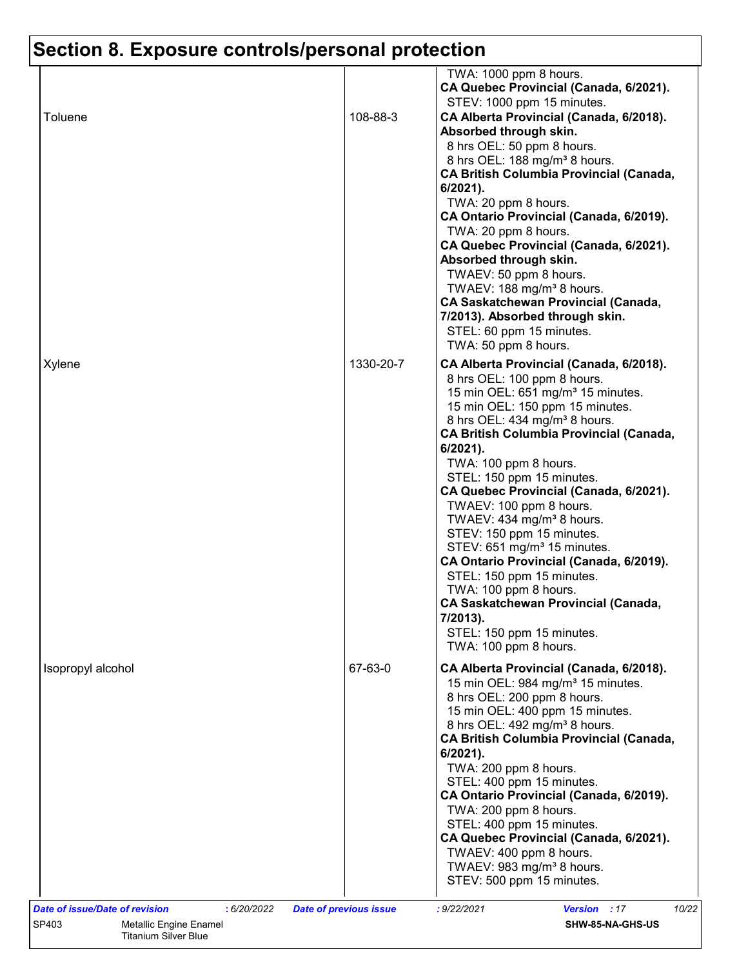| Toluene<br>108-88-3<br>CA Alberta Provincial (Canada, 6/2018).<br>Absorbed through skin.<br>8 hrs OEL: 50 ppm 8 hours.<br>8 hrs OEL: 188 mg/m <sup>3</sup> 8 hours.<br><b>CA British Columbia Provincial (Canada,</b><br>6/2021).<br>TWA: 20 ppm 8 hours.<br>CA Ontario Provincial (Canada, 6/2019).<br>TWA: 20 ppm 8 hours.<br>CA Quebec Provincial (Canada, 6/2021).<br>Absorbed through skin.<br>TWAEV: 50 ppm 8 hours.<br>TWAEV: 188 mg/m <sup>3</sup> 8 hours.<br>CA Saskatchewan Provincial (Canada,<br>7/2013). Absorbed through skin.<br>STEL: 60 ppm 15 minutes.<br>TWA: 50 ppm 8 hours.<br>1330-20-7<br>Xylene<br>CA Alberta Provincial (Canada, 6/2018).<br>8 hrs OEL: 100 ppm 8 hours.<br>15 min OEL: 651 mg/m <sup>3</sup> 15 minutes.<br>15 min OEL: 150 ppm 15 minutes.<br>8 hrs OEL: 434 mg/m <sup>3</sup> 8 hours.<br><b>CA British Columbia Provincial (Canada,</b><br>$6/2021$ ).<br>TWA: 100 ppm 8 hours.<br>STEL: 150 ppm 15 minutes.<br>CA Quebec Provincial (Canada, 6/2021).<br>TWAEV: 100 ppm 8 hours.<br>TWAEV: 434 mg/m <sup>3</sup> 8 hours.<br>STEV: 150 ppm 15 minutes.<br>STEV: 651 mg/m <sup>3</sup> 15 minutes.<br>CA Ontario Provincial (Canada, 6/2019).<br>STEL: 150 ppm 15 minutes.<br>TWA: 100 ppm 8 hours.<br><b>CA Saskatchewan Provincial (Canada,</b><br>7/2013).<br>STEL: 150 ppm 15 minutes.<br>TWA: 100 ppm 8 hours.<br>67-63-0<br>Isopropyl alcohol<br>CA Alberta Provincial (Canada, 6/2018).<br>15 min OEL: 984 mg/m <sup>3</sup> 15 minutes.<br>8 hrs OEL: 200 ppm 8 hours.<br>15 min OEL: 400 ppm 15 minutes.<br>8 hrs OEL: 492 mg/m <sup>3</sup> 8 hours.<br><b>CA British Columbia Provincial (Canada,</b><br>6/2021).<br>TWA: 200 ppm 8 hours.<br>STEL: 400 ppm 15 minutes.<br>CA Ontario Provincial (Canada, 6/2019).<br>TWA: 200 ppm 8 hours.<br>STEL: 400 ppm 15 minutes.<br>CA Quebec Provincial (Canada, 6/2021). |  | TWA: 1000 ppm 8 hours.<br>CA Quebec Provincial (Canada, 6/2021).<br>STEV: 1000 ppm 15 minutes. |
|-----------------------------------------------------------------------------------------------------------------------------------------------------------------------------------------------------------------------------------------------------------------------------------------------------------------------------------------------------------------------------------------------------------------------------------------------------------------------------------------------------------------------------------------------------------------------------------------------------------------------------------------------------------------------------------------------------------------------------------------------------------------------------------------------------------------------------------------------------------------------------------------------------------------------------------------------------------------------------------------------------------------------------------------------------------------------------------------------------------------------------------------------------------------------------------------------------------------------------------------------------------------------------------------------------------------------------------------------------------------------------------------------------------------------------------------------------------------------------------------------------------------------------------------------------------------------------------------------------------------------------------------------------------------------------------------------------------------------------------------------------------------------------------------------------------------------------------------------------------------------------|--|------------------------------------------------------------------------------------------------|
|                                                                                                                                                                                                                                                                                                                                                                                                                                                                                                                                                                                                                                                                                                                                                                                                                                                                                                                                                                                                                                                                                                                                                                                                                                                                                                                                                                                                                                                                                                                                                                                                                                                                                                                                                                                                                                                                             |  |                                                                                                |
|                                                                                                                                                                                                                                                                                                                                                                                                                                                                                                                                                                                                                                                                                                                                                                                                                                                                                                                                                                                                                                                                                                                                                                                                                                                                                                                                                                                                                                                                                                                                                                                                                                                                                                                                                                                                                                                                             |  |                                                                                                |
| TWAEV: 983 mg/m <sup>3</sup> 8 hours.<br>STEV: 500 ppm 15 minutes.                                                                                                                                                                                                                                                                                                                                                                                                                                                                                                                                                                                                                                                                                                                                                                                                                                                                                                                                                                                                                                                                                                                                                                                                                                                                                                                                                                                                                                                                                                                                                                                                                                                                                                                                                                                                          |  | TWAEV: 400 ppm 8 hours.                                                                        |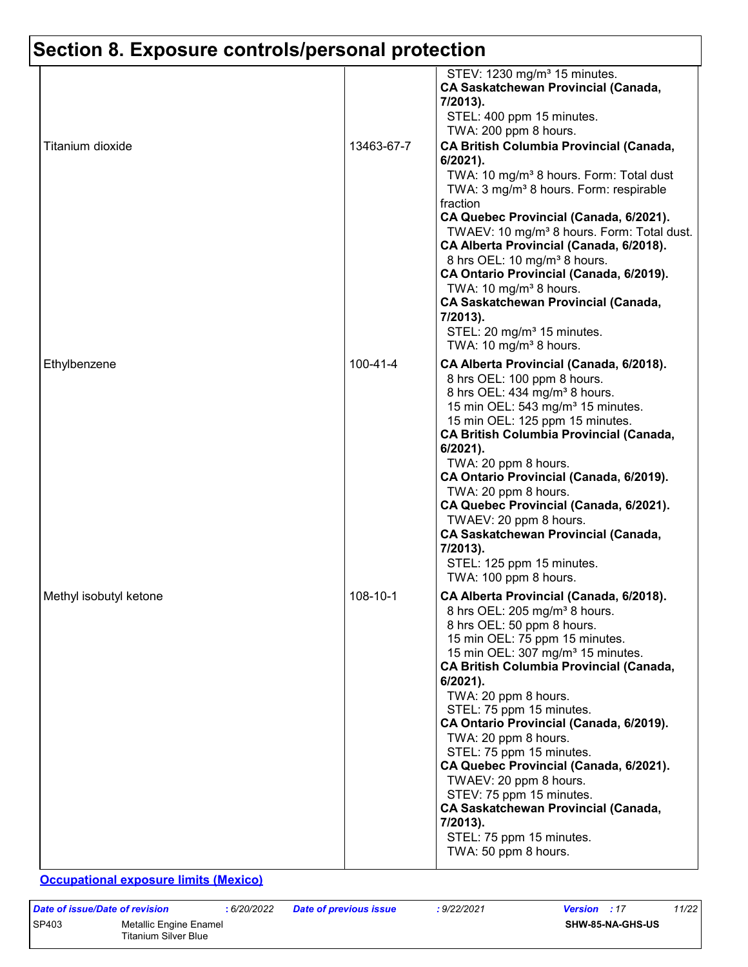| Titanium dioxide       | 13463-67-7 | STEV: 1230 mg/m <sup>3</sup> 15 minutes.<br><b>CA Saskatchewan Provincial (Canada,</b><br>7/2013).<br>STEL: 400 ppm 15 minutes.<br>TWA: 200 ppm 8 hours.<br><b>CA British Columbia Provincial (Canada,</b><br>$6/2021$ ).<br>TWA: 10 mg/m <sup>3</sup> 8 hours. Form: Total dust<br>TWA: 3 mg/m <sup>3</sup> 8 hours. Form: respirable<br>fraction                                                                                                                                                                                                                                                                                      |
|------------------------|------------|-----------------------------------------------------------------------------------------------------------------------------------------------------------------------------------------------------------------------------------------------------------------------------------------------------------------------------------------------------------------------------------------------------------------------------------------------------------------------------------------------------------------------------------------------------------------------------------------------------------------------------------------|
|                        |            | CA Quebec Provincial (Canada, 6/2021).<br>TWAEV: 10 mg/m <sup>3</sup> 8 hours. Form: Total dust.<br>CA Alberta Provincial (Canada, 6/2018).<br>8 hrs OEL: 10 mg/m <sup>3</sup> 8 hours.<br>CA Ontario Provincial (Canada, 6/2019).<br>TWA: 10 mg/m <sup>3</sup> 8 hours.<br><b>CA Saskatchewan Provincial (Canada,</b><br>7/2013).<br>STEL: 20 mg/m <sup>3</sup> 15 minutes.<br>TWA: 10 mg/m <sup>3</sup> 8 hours.                                                                                                                                                                                                                      |
| Ethylbenzene           | 100-41-4   | CA Alberta Provincial (Canada, 6/2018).<br>8 hrs OEL: 100 ppm 8 hours.<br>8 hrs OEL: 434 mg/m <sup>3</sup> 8 hours.<br>15 min OEL: 543 mg/m <sup>3</sup> 15 minutes.<br>15 min OEL: 125 ppm 15 minutes.<br><b>CA British Columbia Provincial (Canada,</b><br>6/2021).<br>TWA: 20 ppm 8 hours.<br>CA Ontario Provincial (Canada, 6/2019).<br>TWA: 20 ppm 8 hours.<br>CA Quebec Provincial (Canada, 6/2021).<br>TWAEV: 20 ppm 8 hours.<br><b>CA Saskatchewan Provincial (Canada,</b><br>7/2013).<br>STEL: 125 ppm 15 minutes.<br>TWA: 100 ppm 8 hours.                                                                                    |
| Methyl isobutyl ketone | 108-10-1   | CA Alberta Provincial (Canada, 6/2018).<br>8 hrs OEL: 205 mg/m <sup>3</sup> 8 hours.<br>8 hrs OEL: 50 ppm 8 hours.<br>15 min OEL: 75 ppm 15 minutes.<br>15 min OEL: 307 mg/m <sup>3</sup> 15 minutes.<br><b>CA British Columbia Provincial (Canada,</b><br>$6/2021$ ).<br>TWA: 20 ppm 8 hours.<br>STEL: 75 ppm 15 minutes.<br>CA Ontario Provincial (Canada, 6/2019).<br>TWA: 20 ppm 8 hours.<br>STEL: 75 ppm 15 minutes.<br>CA Quebec Provincial (Canada, 6/2021).<br>TWAEV: 20 ppm 8 hours.<br>STEV: 75 ppm 15 minutes.<br><b>CA Saskatchewan Provincial (Canada,</b><br>7/2013).<br>STEL: 75 ppm 15 minutes.<br>TWA: 50 ppm 8 hours. |

**Occupational exposure limits (Mexico)**

*Date of issue/Date of revision* **:** *6/20/2022 Date of previous issue : 9/22/2021 Version : 17 11/22* SP403 Metallic Engine Enamel Titanium Silver Blue **SHW-85-NA-GHS-US**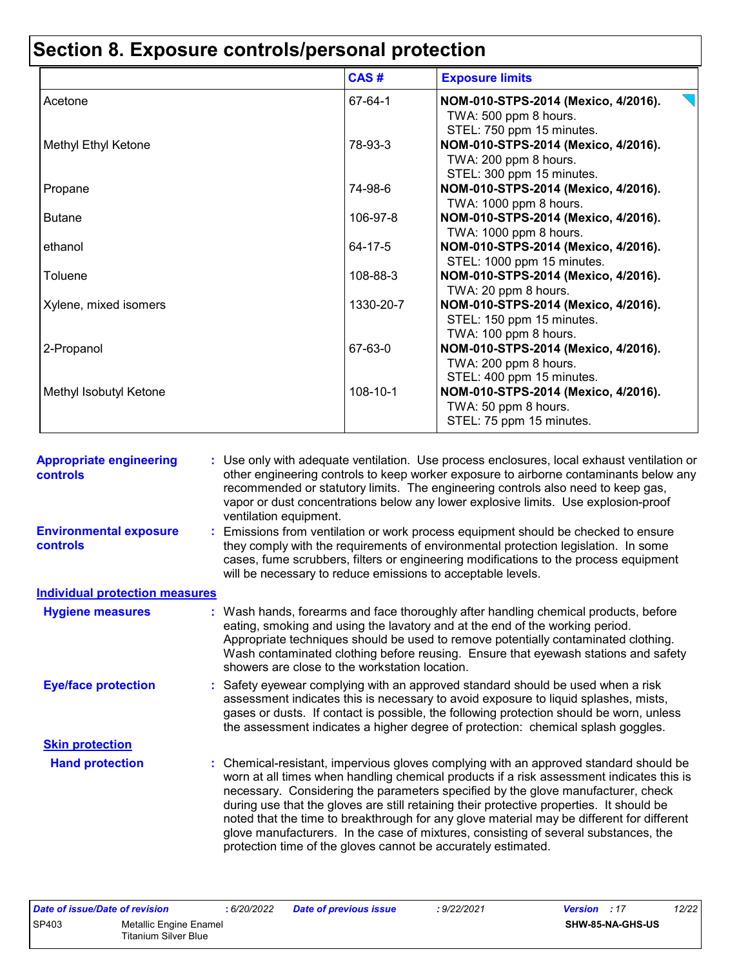|                        | CAS#      | <b>Exposure limits</b>                                                                    |
|------------------------|-----------|-------------------------------------------------------------------------------------------|
| Acetone                | 67-64-1   | NOM-010-STPS-2014 (Mexico, 4/2016).<br>TWA: 500 ppm 8 hours.<br>STEL: 750 ppm 15 minutes. |
| Methyl Ethyl Ketone    | 78-93-3   | NOM-010-STPS-2014 (Mexico, 4/2016).<br>TWA: 200 ppm 8 hours.<br>STEL: 300 ppm 15 minutes. |
| Propane                | 74-98-6   | NOM-010-STPS-2014 (Mexico, 4/2016).<br>TWA: 1000 ppm 8 hours.                             |
| <b>Butane</b>          | 106-97-8  | NOM-010-STPS-2014 (Mexico, 4/2016).<br>TWA: 1000 ppm 8 hours.                             |
| ethanol                | 64-17-5   | NOM-010-STPS-2014 (Mexico, 4/2016).<br>STEL: 1000 ppm 15 minutes.                         |
| Toluene                | 108-88-3  | NOM-010-STPS-2014 (Mexico, 4/2016).<br>TWA: 20 ppm 8 hours.                               |
| Xylene, mixed isomers  | 1330-20-7 | NOM-010-STPS-2014 (Mexico, 4/2016).<br>STEL: 150 ppm 15 minutes.<br>TWA: 100 ppm 8 hours. |
| 2-Propanol             | 67-63-0   | NOM-010-STPS-2014 (Mexico, 4/2016).<br>TWA: 200 ppm 8 hours.<br>STEL: 400 ppm 15 minutes. |
| Methyl Isobutyl Ketone | 108-10-1  | NOM-010-STPS-2014 (Mexico, 4/2016).<br>TWA: 50 ppm 8 hours.<br>STEL: 75 ppm 15 minutes.   |

| <b>Appropriate engineering</b><br><b>controls</b> | Use only with adequate ventilation. Use process enclosures, local exhaust ventilation or<br>other engineering controls to keep worker exposure to airborne contaminants below any<br>recommended or statutory limits. The engineering controls also need to keep gas,<br>vapor or dust concentrations below any lower explosive limits. Use explosion-proof<br>ventilation equipment.                                                                                                                                                                                                                                |
|---------------------------------------------------|----------------------------------------------------------------------------------------------------------------------------------------------------------------------------------------------------------------------------------------------------------------------------------------------------------------------------------------------------------------------------------------------------------------------------------------------------------------------------------------------------------------------------------------------------------------------------------------------------------------------|
| <b>Environmental exposure</b><br>controls         | Emissions from ventilation or work process equipment should be checked to ensure<br>they comply with the requirements of environmental protection legislation. In some<br>cases, fume scrubbers, filters or engineering modifications to the process equipment<br>will be necessary to reduce emissions to acceptable levels.                                                                                                                                                                                                                                                                                        |
| <b>Individual protection measures</b>             |                                                                                                                                                                                                                                                                                                                                                                                                                                                                                                                                                                                                                      |
| <b>Hygiene measures</b>                           | Wash hands, forearms and face thoroughly after handling chemical products, before<br>eating, smoking and using the lavatory and at the end of the working period.<br>Appropriate techniques should be used to remove potentially contaminated clothing.<br>Wash contaminated clothing before reusing. Ensure that eyewash stations and safety<br>showers are close to the workstation location.                                                                                                                                                                                                                      |
| <b>Eye/face protection</b>                        | Safety eyewear complying with an approved standard should be used when a risk<br>assessment indicates this is necessary to avoid exposure to liquid splashes, mists,<br>gases or dusts. If contact is possible, the following protection should be worn, unless<br>the assessment indicates a higher degree of protection: chemical splash goggles.                                                                                                                                                                                                                                                                  |
| <b>Skin protection</b>                            |                                                                                                                                                                                                                                                                                                                                                                                                                                                                                                                                                                                                                      |
| <b>Hand protection</b>                            | Chemical-resistant, impervious gloves complying with an approved standard should be<br>worn at all times when handling chemical products if a risk assessment indicates this is<br>necessary. Considering the parameters specified by the glove manufacturer, check<br>during use that the gloves are still retaining their protective properties. It should be<br>noted that the time to breakthrough for any glove material may be different for different<br>glove manufacturers. In the case of mixtures, consisting of several substances, the<br>protection time of the gloves cannot be accurately estimated. |

| Date of issue/Date of revision |                                                | .6/20/2022 | <b>Date of previous issue</b> | 9/22/2021 | <b>Version</b> : 17 |                  | 12/22 |
|--------------------------------|------------------------------------------------|------------|-------------------------------|-----------|---------------------|------------------|-------|
| <b>SP403</b>                   | Metallic Engine Enamel<br>Titanium Silver Blue |            |                               |           |                     | SHW-85-NA-GHS-US |       |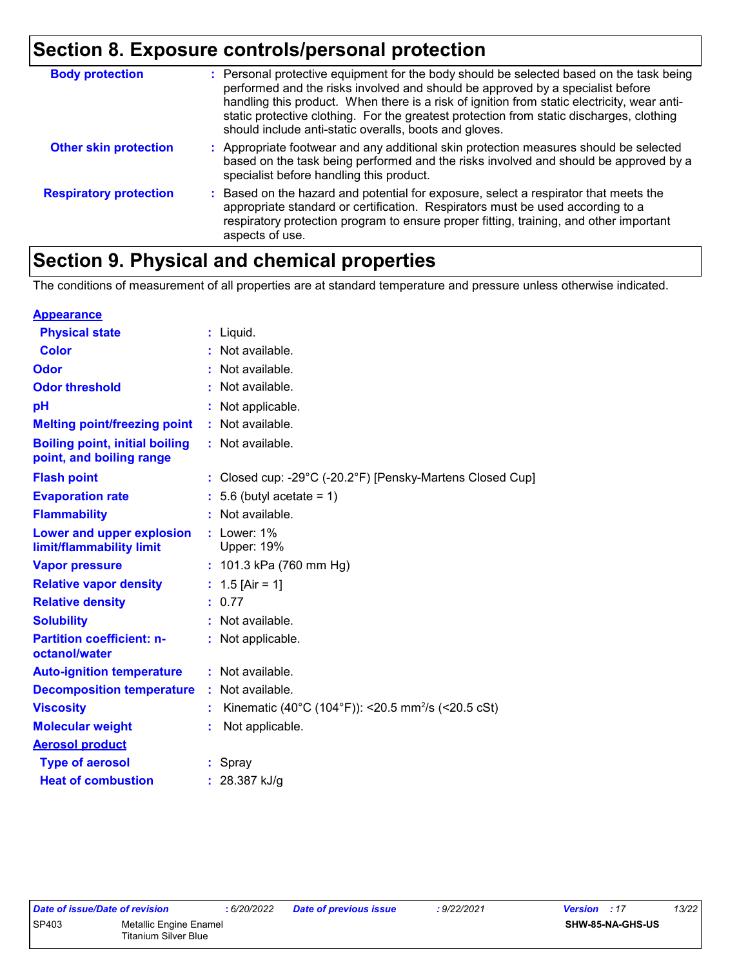| <b>Body protection</b>        | : Personal protective equipment for the body should be selected based on the task being<br>performed and the risks involved and should be approved by a specialist before<br>handling this product. When there is a risk of ignition from static electricity, wear anti-<br>static protective clothing. For the greatest protection from static discharges, clothing<br>should include anti-static overalls, boots and gloves. |
|-------------------------------|--------------------------------------------------------------------------------------------------------------------------------------------------------------------------------------------------------------------------------------------------------------------------------------------------------------------------------------------------------------------------------------------------------------------------------|
| <b>Other skin protection</b>  | : Appropriate footwear and any additional skin protection measures should be selected<br>based on the task being performed and the risks involved and should be approved by a<br>specialist before handling this product.                                                                                                                                                                                                      |
| <b>Respiratory protection</b> | : Based on the hazard and potential for exposure, select a respirator that meets the<br>appropriate standard or certification. Respirators must be used according to a<br>respiratory protection program to ensure proper fitting, training, and other important<br>aspects of use.                                                                                                                                            |

## **Section 9. Physical and chemical properties**

The conditions of measurement of all properties are at standard temperature and pressure unless otherwise indicated.

| <b>Appearance</b>                                                 |                                                                |
|-------------------------------------------------------------------|----------------------------------------------------------------|
| <b>Physical state</b>                                             | $:$ Liquid.                                                    |
| <b>Color</b>                                                      | Not available.                                                 |
| Odor                                                              | Not available.                                                 |
| <b>Odor threshold</b>                                             | Not available.                                                 |
| pH                                                                | Not applicable.                                                |
| <b>Melting point/freezing point</b>                               | : Not available.                                               |
| <b>Boiling point, initial boiling</b><br>point, and boiling range | : Not available.                                               |
| <b>Flash point</b>                                                | : Closed cup: -29°C (-20.2°F) [Pensky-Martens Closed Cup]      |
| <b>Evaporation rate</b>                                           | $: 5.6$ (butyl acetate = 1)                                    |
| <b>Flammability</b>                                               | Not available.                                                 |
| Lower and upper explosion<br>limit/flammability limit             | : Lower: $1\%$<br><b>Upper: 19%</b>                            |
| <b>Vapor pressure</b>                                             | : $101.3$ kPa (760 mm Hg)                                      |
| <b>Relative vapor density</b>                                     | : $1.5$ [Air = 1]                                              |
| <b>Relative density</b>                                           | : 0.77                                                         |
| <b>Solubility</b>                                                 | : Not available.                                               |
| <b>Partition coefficient: n-</b><br>octanol/water                 | Not applicable.                                                |
| <b>Auto-ignition temperature</b>                                  | : Not available.                                               |
| <b>Decomposition temperature</b>                                  | Not available.                                                 |
| <b>Viscosity</b>                                                  | Kinematic (40°C (104°F)): <20.5 mm <sup>2</sup> /s (<20.5 cSt) |
| <b>Molecular weight</b>                                           | Not applicable.                                                |
| <b>Aerosol product</b>                                            |                                                                |
| <b>Type of aerosol</b>                                            | : Spray                                                        |
| <b>Heat of combustion</b>                                         | : 28.387 kJ/g                                                  |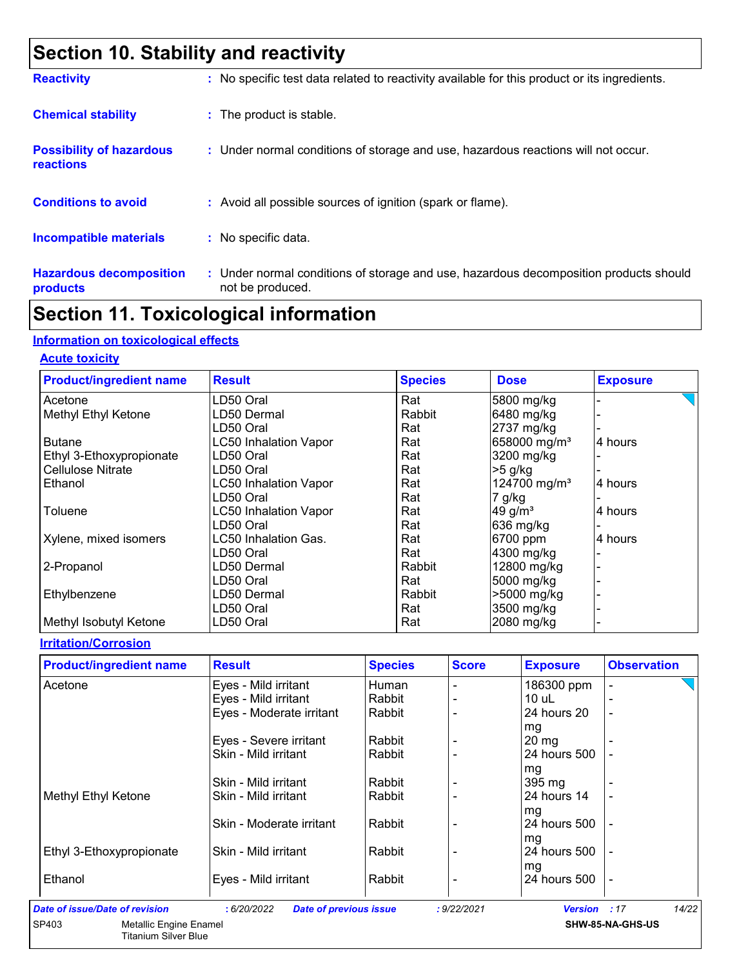## **Section 10. Stability and reactivity**

| <b>Reactivity</b>                            | : No specific test data related to reactivity available for this product or its ingredients.              |
|----------------------------------------------|-----------------------------------------------------------------------------------------------------------|
| <b>Chemical stability</b>                    | : The product is stable.                                                                                  |
| <b>Possibility of hazardous</b><br>reactions | : Under normal conditions of storage and use, hazardous reactions will not occur.                         |
| <b>Conditions to avoid</b>                   | : Avoid all possible sources of ignition (spark or flame).                                                |
| <b>Incompatible materials</b>                | : No specific data.                                                                                       |
| <b>Hazardous decomposition</b><br>products   | : Under normal conditions of storage and use, hazardous decomposition products should<br>not be produced. |

### **Section 11. Toxicological information**

#### **Information on toxicological effects**

**Acute toxicity**

| <b>Product/ingredient name</b> | <b>Result</b>                | <b>Species</b> | <b>Dose</b>              | <b>Exposure</b> |
|--------------------------------|------------------------------|----------------|--------------------------|-----------------|
| Acetone                        | LD50 Oral                    | Rat            | 5800 mg/kg               |                 |
| Methyl Ethyl Ketone            | LD50 Dermal                  | Rabbit         | 6480 mg/kg               |                 |
|                                | LD50 Oral                    | Rat            | 2737 mg/kg               |                 |
| <b>Butane</b>                  | <b>LC50 Inhalation Vapor</b> | Rat            | 658000 mg/m <sup>3</sup> | 4 hours         |
| Ethyl 3-Ethoxypropionate       | LD50 Oral                    | Rat            | 3200 mg/kg               |                 |
| <b>Cellulose Nitrate</b>       | LD50 Oral                    | Rat            | $>5$ g/kg                |                 |
| Ethanol                        | <b>LC50 Inhalation Vapor</b> | Rat            | 124700 mg/m <sup>3</sup> | 4 hours         |
|                                | LD50 Oral                    | Rat            | $7$ g/kg                 |                 |
| Toluene                        | <b>LC50 Inhalation Vapor</b> | Rat            | $49$ g/m <sup>3</sup>    | 4 hours         |
|                                | LD50 Oral                    | Rat            | 636 mg/kg                |                 |
| Xylene, mixed isomers          | LC50 Inhalation Gas.         | Rat            | 6700 ppm                 | 4 hours         |
|                                | LD50 Oral                    | Rat            | 4300 mg/kg               |                 |
| 2-Propanol                     | LD50 Dermal                  | Rabbit         | 12800 mg/kg              |                 |
|                                | LD50 Oral                    | Rat            | 5000 mg/kg               |                 |
| Ethylbenzene                   | LD50 Dermal                  | Rabbit         | >5000 mg/kg              |                 |
|                                | LD50 Oral                    | Rat            | 3500 mg/kg               |                 |
| Methyl Isobutyl Ketone         | LD50 Oral                    | Rat            | 2080 mg/kg               |                 |

#### **Irritation/Corrosion**

| <b>Product/ingredient name</b> | <b>Result</b>            | <b>Species</b> | <b>Score</b> | <b>Exposure</b> | <b>Observation</b> |
|--------------------------------|--------------------------|----------------|--------------|-----------------|--------------------|
| Acetone                        | Eyes - Mild irritant     | Human          |              | 186300 ppm      |                    |
|                                | Eyes - Mild irritant     | Rabbit         |              | 10 uL           |                    |
|                                | Eyes - Moderate irritant | Rabbit         |              | 24 hours 20     | ۰                  |
|                                |                          |                |              | mg              |                    |
|                                | Eyes - Severe irritant   | Rabbit         |              | 20 mg           |                    |
|                                | Skin - Mild irritant     | Rabbit         |              | 24 hours 500    |                    |
|                                |                          |                |              | mg              |                    |
|                                | Skin - Mild irritant     | Rabbit         |              | 395 mg          |                    |
| Methyl Ethyl Ketone            | Skin - Mild irritant     | Rabbit         |              | 24 hours 14     |                    |
|                                |                          |                |              | mg              |                    |
|                                | Skin - Moderate irritant | Rabbit         |              | 24 hours 500    |                    |
|                                |                          |                |              | mg              |                    |
| Ethyl 3-Ethoxypropionate       | Skin - Mild irritant     | Rabbit         |              | 24 hours 500    |                    |
|                                |                          |                |              | mg              |                    |
| Ethanol                        | Eyes - Mild irritant     | Rabbit         |              | 24 hours 500    |                    |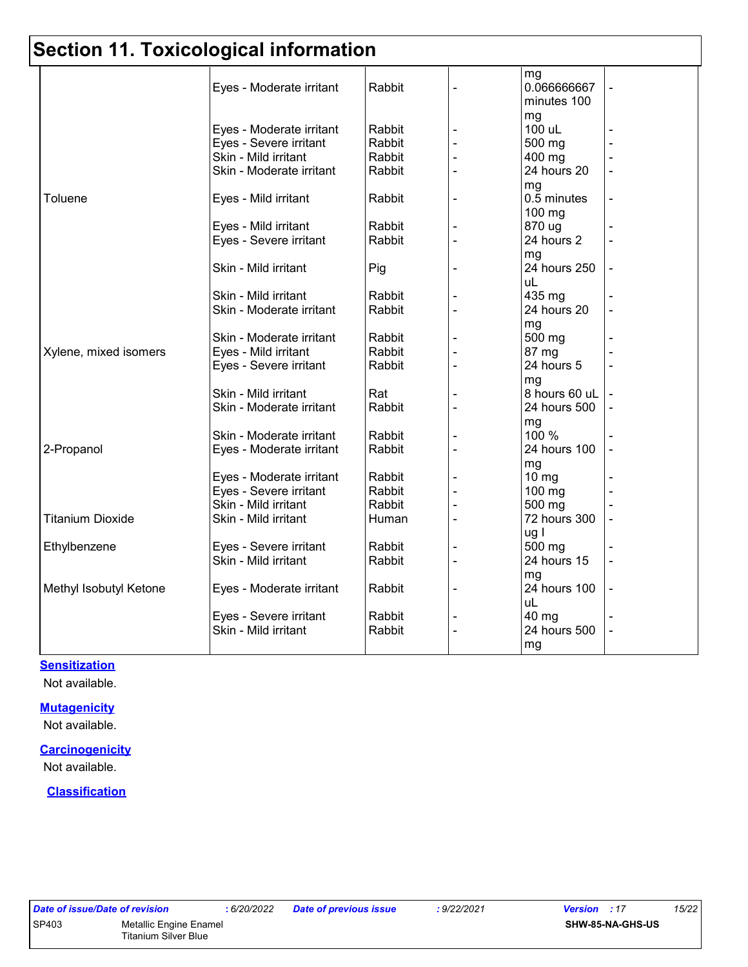## **Section 11. Toxicological information**

|                         |                          |        | mg              |  |
|-------------------------|--------------------------|--------|-----------------|--|
|                         | Eyes - Moderate irritant | Rabbit | 0.066666667     |  |
|                         |                          |        | minutes 100     |  |
|                         |                          |        | mg              |  |
|                         | Eyes - Moderate irritant | Rabbit | 100 uL          |  |
|                         | Eyes - Severe irritant   | Rabbit | 500 mg          |  |
|                         | Skin - Mild irritant     | Rabbit | 400 mg          |  |
|                         | Skin - Moderate irritant | Rabbit | 24 hours 20     |  |
|                         |                          |        | mg              |  |
| Toluene                 | Eyes - Mild irritant     | Rabbit | 0.5 minutes     |  |
|                         |                          |        | $100$ mg        |  |
|                         | Eyes - Mild irritant     | Rabbit | 870 ug          |  |
|                         | Eyes - Severe irritant   | Rabbit | 24 hours 2      |  |
|                         |                          |        | mg              |  |
|                         | Skin - Mild irritant     | Pig    | 24 hours 250    |  |
|                         |                          |        | uL              |  |
|                         | Skin - Mild irritant     | Rabbit | 435 mg          |  |
|                         | Skin - Moderate irritant | Rabbit | 24 hours 20     |  |
|                         |                          |        | mg              |  |
|                         | Skin - Moderate irritant | Rabbit | 500 mg          |  |
| Xylene, mixed isomers   | Eyes - Mild irritant     | Rabbit | 87 mg           |  |
|                         | Eyes - Severe irritant   | Rabbit | 24 hours 5      |  |
|                         |                          |        | mg              |  |
|                         | Skin - Mild irritant     | Rat    | 8 hours 60 uL   |  |
|                         | Skin - Moderate irritant | Rabbit | 24 hours 500    |  |
|                         |                          |        | mg              |  |
|                         | Skin - Moderate irritant | Rabbit | 100 %           |  |
| 2-Propanol              | Eyes - Moderate irritant | Rabbit | 24 hours 100    |  |
|                         |                          |        | mg              |  |
|                         | Eyes - Moderate irritant | Rabbit | $10 \text{ mg}$ |  |
|                         | Eyes - Severe irritant   | Rabbit | 100 mg          |  |
|                         | Skin - Mild irritant     | Rabbit | 500 mg          |  |
| <b>Titanium Dioxide</b> | Skin - Mild irritant     | Human  | 72 hours 300    |  |
|                         |                          |        | ug l            |  |
| Ethylbenzene            | Eyes - Severe irritant   | Rabbit | 500 mg          |  |
|                         | Skin - Mild irritant     | Rabbit | 24 hours 15     |  |
|                         |                          |        | mg              |  |
| Methyl Isobutyl Ketone  | Eyes - Moderate irritant | Rabbit | 24 hours 100    |  |
|                         |                          |        | uL              |  |
|                         | Eyes - Severe irritant   | Rabbit | 40 mg           |  |
|                         | Skin - Mild irritant     | Rabbit | 24 hours 500    |  |
|                         |                          |        | mg              |  |

#### **Sensitization**

Not available.

#### **Mutagenicity**

Not available.

#### **Carcinogenicity**

Not available.

#### **Classification**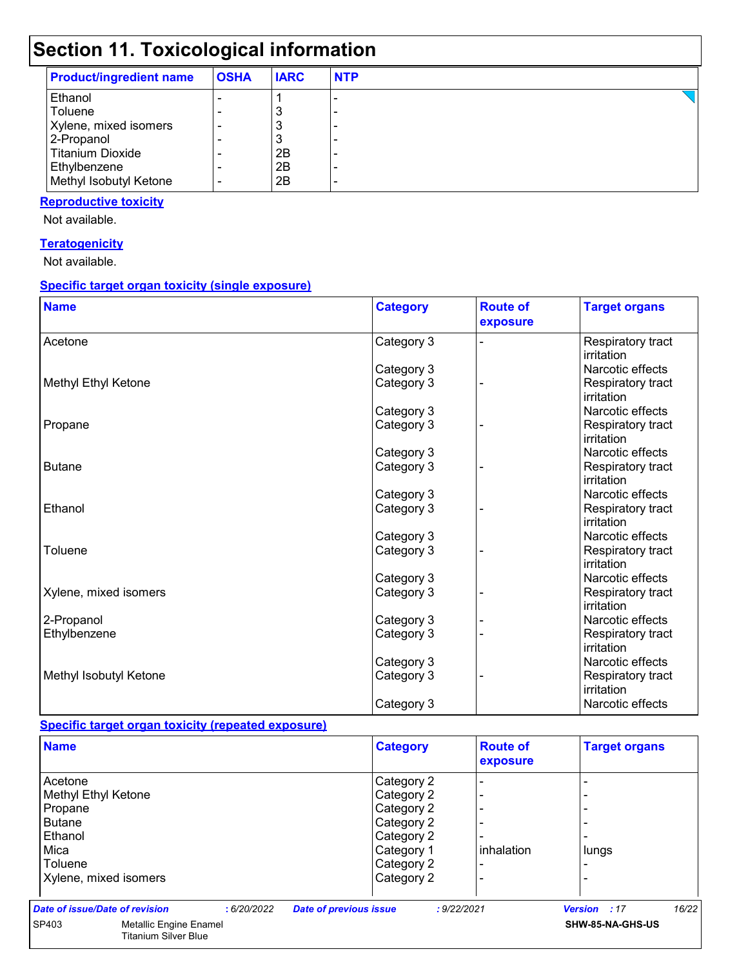## **Section 11. Toxicological information**

| <b>Product/ingredient name</b> | <b>OSHA</b> | <b>IARC</b> | <b>NTP</b> |
|--------------------------------|-------------|-------------|------------|
| Ethanol                        |             |             |            |
| Toluene                        |             |             |            |
| Xylene, mixed isomers          |             |             |            |
| 2-Propanol                     |             |             |            |
| Titanium Dioxide               |             | 2Β          |            |
| Ethylbenzene                   |             | 2B          |            |
| Methyl Isobutyl Ketone         | -           | 2B          |            |

#### **Reproductive toxicity**

Not available.

#### **Teratogenicity**

Not available.

#### **Specific target organ toxicity (single exposure)**

| <b>Name</b>            | <b>Category</b> | <b>Route of</b><br>exposure | <b>Target organs</b>            |
|------------------------|-----------------|-----------------------------|---------------------------------|
| Acetone                | Category 3      |                             | Respiratory tract<br>irritation |
|                        | Category 3      |                             | Narcotic effects                |
| Methyl Ethyl Ketone    | Category 3      |                             | Respiratory tract<br>irritation |
|                        | Category 3      |                             | Narcotic effects                |
| Propane                | Category 3      |                             | Respiratory tract<br>irritation |
|                        | Category 3      |                             | Narcotic effects                |
| <b>Butane</b>          | Category 3      |                             | Respiratory tract<br>irritation |
|                        | Category 3      |                             | Narcotic effects                |
| Ethanol                | Category 3      |                             | Respiratory tract<br>irritation |
|                        | Category 3      |                             | Narcotic effects                |
| Toluene                | Category 3      |                             | Respiratory tract<br>irritation |
|                        | Category 3      |                             | Narcotic effects                |
| Xylene, mixed isomers  | Category 3      |                             | Respiratory tract<br>irritation |
| 2-Propanol             | Category 3      |                             | Narcotic effects                |
| Ethylbenzene           | Category 3      |                             | Respiratory tract<br>irritation |
|                        | Category 3      |                             | Narcotic effects                |
| Methyl Isobutyl Ketone | Category 3      |                             | Respiratory tract<br>irritation |
|                        | Category 3      |                             | Narcotic effects                |

#### **Specific target organ toxicity (repeated exposure)**

| <b>Name</b>                    |                                                       |            |                               | <b>Category</b> |             | <b>Route of</b><br>exposure | <b>Target organs</b> |       |
|--------------------------------|-------------------------------------------------------|------------|-------------------------------|-----------------|-------------|-----------------------------|----------------------|-------|
| Acetone                        |                                                       |            |                               | Category 2      |             |                             |                      |       |
| Methyl Ethyl Ketone            |                                                       |            |                               | Category 2      |             |                             |                      |       |
| Propane                        |                                                       |            |                               | Category 2      |             |                             |                      |       |
| <b>Butane</b>                  |                                                       |            |                               | Category 2      |             |                             |                      |       |
| Ethanol                        |                                                       |            |                               | Category 2      |             |                             |                      |       |
| Mica                           |                                                       |            |                               | Category 1      |             | <b>l</b> inhalation         | lungs                |       |
| Toluene                        |                                                       |            |                               | Category 2      |             |                             |                      |       |
| Xylene, mixed isomers          |                                                       |            |                               | Category 2      |             |                             |                      |       |
| Date of issue/Date of revision |                                                       | :6/20/2022 | <b>Date of previous issue</b> |                 | : 9/22/2021 |                             | Version : 17         | 16/22 |
| SP403                          | Metallic Engine Enamel<br><b>Titanium Silver Blue</b> |            |                               |                 |             |                             | SHW-85-NA-GHS-US     |       |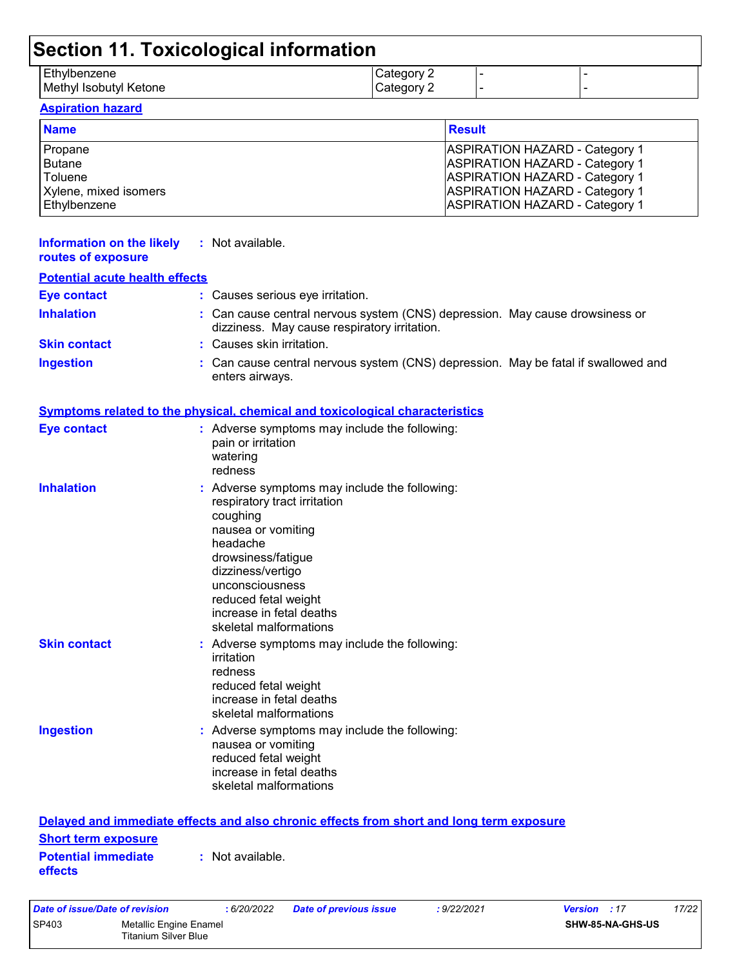| Section 11. Toxicological information |                          |  |  |  |  |  |
|---------------------------------------|--------------------------|--|--|--|--|--|
| Ethylbenzene                          |                          |  |  |  |  |  |
| Methyl Isobutyl Ketone                | Category 2<br>Category 2 |  |  |  |  |  |
| <b>Aspiration hazard</b>              |                          |  |  |  |  |  |

| <b>Name</b>           | <b>Result</b>                         |
|-----------------------|---------------------------------------|
| Propane               | <b>ASPIRATION HAZARD - Category 1</b> |
| <b>Butane</b>         | <b>ASPIRATION HAZARD - Category 1</b> |
| Toluene               | <b>ASPIRATION HAZARD - Category 1</b> |
| Xylene, mixed isomers | <b>ASPIRATION HAZARD - Category 1</b> |
| Ethylbenzene          | <b>ASPIRATION HAZARD - Category 1</b> |

| Information on the likely<br>routes of exposure                     | : Not available.                                                                                                                                                                                                                                                        |
|---------------------------------------------------------------------|-------------------------------------------------------------------------------------------------------------------------------------------------------------------------------------------------------------------------------------------------------------------------|
| <b>Potential acute health effects</b>                               |                                                                                                                                                                                                                                                                         |
| <b>Eye contact</b>                                                  | : Causes serious eye irritation.                                                                                                                                                                                                                                        |
| <b>Inhalation</b>                                                   | : Can cause central nervous system (CNS) depression. May cause drowsiness or<br>dizziness. May cause respiratory irritation.                                                                                                                                            |
| <b>Skin contact</b>                                                 | : Causes skin irritation.                                                                                                                                                                                                                                               |
| <b>Ingestion</b>                                                    | Can cause central nervous system (CNS) depression. May be fatal if swallowed and<br>enters airways.                                                                                                                                                                     |
|                                                                     | <u>Symptoms related to the physical, chemical and toxicological characteristics</u>                                                                                                                                                                                     |
| <b>Eye contact</b>                                                  | : Adverse symptoms may include the following:<br>pain or irritation<br>watering<br>redness                                                                                                                                                                              |
| <b>Inhalation</b>                                                   | : Adverse symptoms may include the following:<br>respiratory tract irritation<br>coughing<br>nausea or vomiting<br>headache<br>drowsiness/fatigue<br>dizziness/vertigo<br>unconsciousness<br>reduced fetal weight<br>increase in fetal deaths<br>skeletal malformations |
| <b>Skin contact</b>                                                 | : Adverse symptoms may include the following:<br>irritation<br>redness<br>reduced fetal weight<br>increase in fetal deaths<br>skeletal malformations                                                                                                                    |
| <b>Ingestion</b>                                                    | : Adverse symptoms may include the following:<br>nausea or vomiting<br>reduced fetal weight<br>increase in fetal deaths<br>skeletal malformations                                                                                                                       |
|                                                                     | Delayed and immediate effects and also chronic effects from short and long term exposure                                                                                                                                                                                |
| <b>Short term exposure</b><br><b>Potential immediate</b><br>effects | : Not available.                                                                                                                                                                                                                                                        |
| Date of issue/Date of revision                                      | 17/22<br>: 6/20/2022<br>: 9/22/2021<br>Version : 17<br><b>Date of previous issue</b>                                                                                                                                                                                    |

SP403 Metallic Engine Enamel

Titanium Silver Blue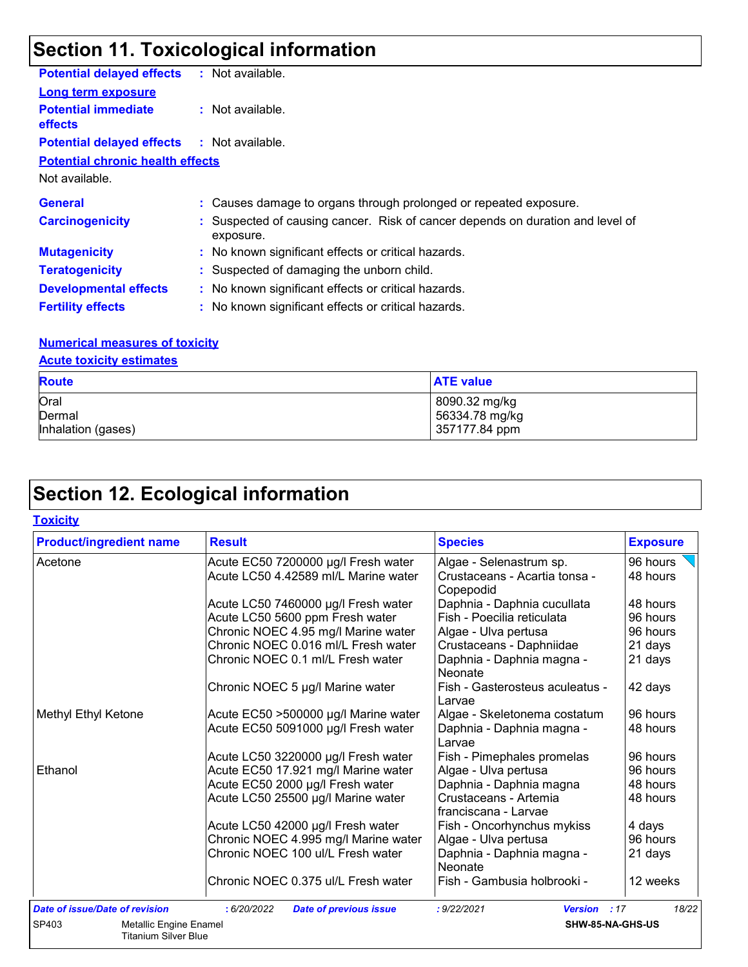## **Section 11. Toxicological information**

| <b>Potential delayed effects</b>                  | : Not available.                                                                            |
|---------------------------------------------------|---------------------------------------------------------------------------------------------|
| <b>Long term exposure</b>                         |                                                                                             |
| <b>Potential immediate</b><br><b>effects</b>      | $\therefore$ Not available.                                                                 |
| <b>Potential delayed effects : Not available.</b> |                                                                                             |
| <b>Potential chronic health effects</b>           |                                                                                             |
| Not available.                                    |                                                                                             |
| <b>General</b>                                    | : Causes damage to organs through prolonged or repeated exposure.                           |
| <b>Carcinogenicity</b>                            | : Suspected of causing cancer. Risk of cancer depends on duration and level of<br>exposure. |
| <b>Mutagenicity</b>                               | : No known significant effects or critical hazards.                                         |
| <b>Teratogenicity</b>                             | : Suspected of damaging the unborn child.                                                   |
| <b>Developmental effects</b>                      | : No known significant effects or critical hazards.                                         |
| <b>Fertility effects</b>                          | : No known significant effects or critical hazards.                                         |

#### **Numerical measures of toxicity**

#### **Acute toxicity estimates**

| <b>Route</b>       | <b>ATE value</b> |
|--------------------|------------------|
| Oral               | 8090.32 mg/kg    |
| Dermal             | 56334.78 mg/kg   |
| Inhalation (gases) | 357177.84 ppm    |

## **Section 12. Ecological information**

| <b>Product/ingredient name</b>                                        | <b>Result</b>                                | <b>Species</b>                                | <b>Exposure</b> |
|-----------------------------------------------------------------------|----------------------------------------------|-----------------------------------------------|-----------------|
| Acetone                                                               | Acute EC50 7200000 µg/l Fresh water          | Algae - Selenastrum sp.                       | 96 hours        |
|                                                                       | Acute LC50 4.42589 ml/L Marine water         | Crustaceans - Acartia tonsa -<br>Copepodid    | 48 hours        |
|                                                                       | Acute LC50 7460000 µg/l Fresh water          | Daphnia - Daphnia cucullata                   | 48 hours        |
|                                                                       | Acute LC50 5600 ppm Fresh water              | Fish - Poecilia reticulata                    | 96 hours        |
|                                                                       | Chronic NOEC 4.95 mg/l Marine water          | Algae - Ulva pertusa                          | 96 hours        |
|                                                                       | Chronic NOEC 0.016 ml/L Fresh water          | Crustaceans - Daphniidae                      | 21 days         |
|                                                                       | Chronic NOEC 0.1 ml/L Fresh water            | Daphnia - Daphnia magna -<br><b>Neonate</b>   | 21 days         |
|                                                                       | Chronic NOEC 5 µg/l Marine water             | Fish - Gasterosteus aculeatus -<br>Larvae     | 42 days         |
| Methyl Ethyl Ketone                                                   | Acute EC50 >500000 µg/l Marine water         | Algae - Skeletonema costatum                  | 96 hours        |
|                                                                       | Acute EC50 5091000 µg/l Fresh water          | Daphnia - Daphnia magna -<br>Larvae           | 48 hours        |
|                                                                       | Acute LC50 3220000 µg/l Fresh water          | Fish - Pimephales promelas                    | 96 hours        |
| Ethanol                                                               | Acute EC50 17.921 mg/l Marine water          | Algae - Ulva pertusa                          | 96 hours        |
|                                                                       | Acute EC50 2000 µg/l Fresh water             | Daphnia - Daphnia magna                       | 48 hours        |
|                                                                       | Acute LC50 25500 µg/l Marine water           | Crustaceans - Artemia<br>franciscana - Larvae | 48 hours        |
|                                                                       | Acute LC50 42000 µg/l Fresh water            | Fish - Oncorhynchus mykiss                    | 4 days          |
|                                                                       | Chronic NOEC 4.995 mg/l Marine water         | Algae - Ulva pertusa                          | 96 hours        |
|                                                                       | Chronic NOEC 100 ul/L Fresh water            | Daphnia - Daphnia magna -<br>Neonate          | 21 days         |
|                                                                       | Chronic NOEC 0.375 ul/L Fresh water          | Fish - Gambusia holbrooki -                   | 12 weeks        |
| <b>Date of issue/Date of revision</b>                                 | : 6/20/2022<br><b>Date of previous issue</b> | : 9/22/2021<br>Version : 17                   | 18/22           |
| SP403<br><b>Metallic Engine Enamel</b><br><b>Titanium Silver Blue</b> |                                              | SHW-85-NA-GHS-US                              |                 |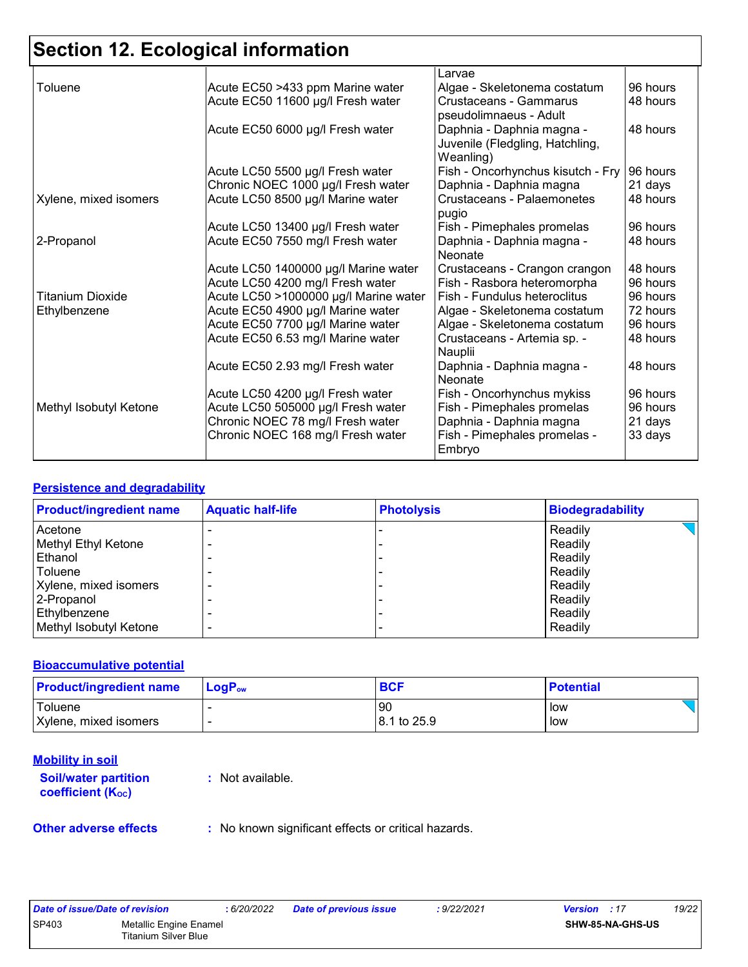## **Section 12. Ecological information**

|                         |                                       | Larvae                            |          |
|-------------------------|---------------------------------------|-----------------------------------|----------|
| Toluene                 | Acute EC50 >433 ppm Marine water      | Algae - Skeletonema costatum      | 96 hours |
|                         | Acute EC50 11600 µg/l Fresh water     | Crustaceans - Gammarus            | 48 hours |
|                         |                                       | pseudolimnaeus - Adult            |          |
|                         | Acute EC50 6000 µg/l Fresh water      | Daphnia - Daphnia magna -         | 48 hours |
|                         |                                       | Juvenile (Fledgling, Hatchling,   |          |
|                         |                                       | Weanling)                         |          |
|                         | Acute LC50 5500 µg/l Fresh water      | Fish - Oncorhynchus kisutch - Fry | 96 hours |
|                         | Chronic NOEC 1000 µg/l Fresh water    | Daphnia - Daphnia magna           | 21 days  |
| Xylene, mixed isomers   | Acute LC50 8500 µg/l Marine water     | Crustaceans - Palaemonetes        | 48 hours |
|                         |                                       | pugio                             |          |
|                         | Acute LC50 13400 µg/l Fresh water     | Fish - Pimephales promelas        | 96 hours |
| 2-Propanol              | Acute EC50 7550 mg/l Fresh water      | Daphnia - Daphnia magna -         | 48 hours |
|                         |                                       | Neonate                           |          |
|                         | Acute LC50 1400000 µg/l Marine water  | Crustaceans - Crangon crangon     | 48 hours |
|                         | Acute LC50 4200 mg/l Fresh water      | Fish - Rasbora heteromorpha       | 96 hours |
| <b>Titanium Dioxide</b> | Acute LC50 >1000000 µg/l Marine water | Fish - Fundulus heteroclitus      | 96 hours |
| Ethylbenzene            | Acute EC50 4900 µg/l Marine water     | Algae - Skeletonema costatum      | 72 hours |
|                         | Acute EC50 7700 µg/l Marine water     | Algae - Skeletonema costatum      | 96 hours |
|                         | Acute EC50 6.53 mg/l Marine water     | Crustaceans - Artemia sp. -       | 48 hours |
|                         |                                       | Nauplii                           |          |
|                         | Acute EC50 2.93 mg/l Fresh water      | Daphnia - Daphnia magna -         | 48 hours |
|                         |                                       | Neonate                           |          |
|                         | Acute LC50 4200 µg/l Fresh water      | Fish - Oncorhynchus mykiss        | 96 hours |
| Methyl Isobutyl Ketone  | Acute LC50 505000 µg/l Fresh water    | Fish - Pimephales promelas        | 96 hours |
|                         | Chronic NOEC 78 mg/l Fresh water      | Daphnia - Daphnia magna           | 21 days  |
|                         | Chronic NOEC 168 mg/l Fresh water     | Fish - Pimephales promelas -      | 33 days  |
|                         |                                       | Embryo                            |          |

#### **Persistence and degradability**

| <b>Product/ingredient name</b> | <b>Aquatic half-life</b> | <b>Photolysis</b> | <b>Biodegradability</b> |
|--------------------------------|--------------------------|-------------------|-------------------------|
| Acetone                        |                          |                   | Readily                 |
| Methyl Ethyl Ketone            |                          |                   | Readily                 |
| Ethanol                        |                          |                   | Readily                 |
| Toluene                        |                          |                   | Readily                 |
| Xylene, mixed isomers          |                          |                   | Readily                 |
| 2-Propanol                     |                          |                   | Readily                 |
| Ethylbenzene                   |                          |                   | Readily                 |
| Methyl Isobutyl Ketone         |                          |                   | Readily                 |

#### **Bioaccumulative potential**

| <b>Product/ingredient name</b> | $LogP_{ow}$ | <b>BCF</b>  | <b>Potential</b> |
|--------------------------------|-------------|-------------|------------------|
| Toluene                        |             | 90          | low              |
| Xylene, mixed isomers          |             | 8.1 to 25.9 | low              |

#### **Mobility in soil**

**Soil/water partition coefficient (Koc)** 

**:** Not available.

**Other adverse effects** : No known significant effects or critical hazards.

|              | Date of issue/Date of revision                 | .6/20/2022 | Date of previous issue | 9/22/2021: | <b>Version</b> : 17     | 19/22 |
|--------------|------------------------------------------------|------------|------------------------|------------|-------------------------|-------|
| <b>SP403</b> | Metallic Engine Enamel<br>Titanium Silver Blue |            |                        |            | <b>SHW-85-NA-GHS-US</b> |       |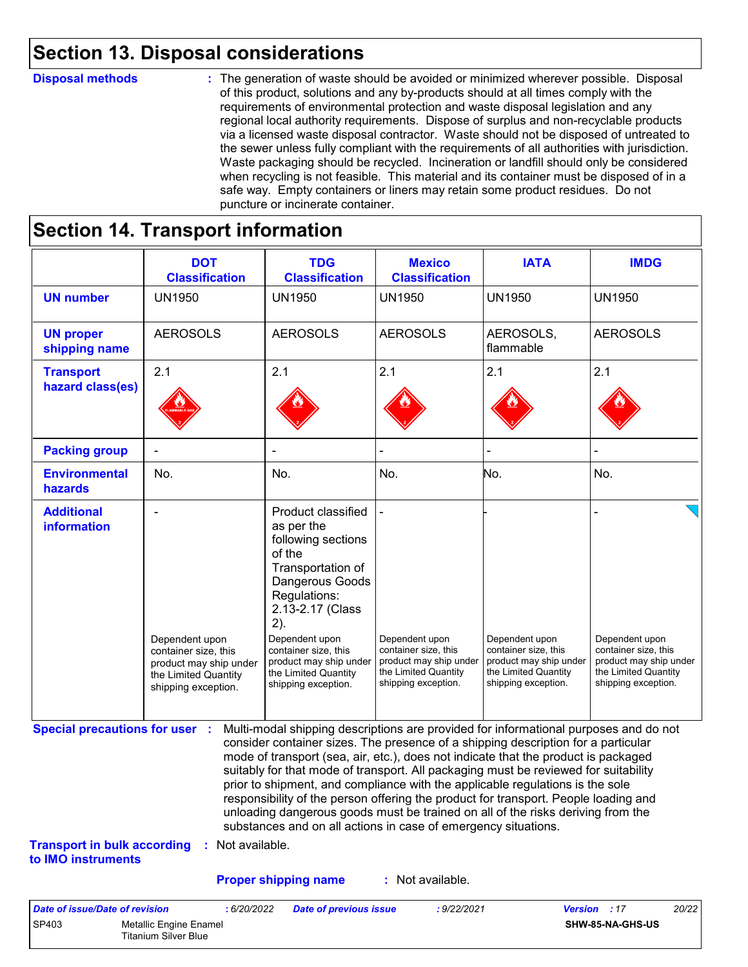### **Section 13. Disposal considerations**

#### **Disposal methods :**

The generation of waste should be avoided or minimized wherever possible. Disposal of this product, solutions and any by-products should at all times comply with the requirements of environmental protection and waste disposal legislation and any regional local authority requirements. Dispose of surplus and non-recyclable products via a licensed waste disposal contractor. Waste should not be disposed of untreated to the sewer unless fully compliant with the requirements of all authorities with jurisdiction. Waste packaging should be recycled. Incineration or landfill should only be considered when recycling is not feasible. This material and its container must be disposed of in a safe way. Empty containers or liners may retain some product residues. Do not puncture or incinerate container.

### **Section 14. Transport information**

SP403 Metallic Engine Enamel

Titanium Silver Blue

|                                                                                                   | <b>DOT</b><br><b>Classification</b>                                                                             | <b>TDG</b><br><b>Classification</b>                                                                                                                                                                                                                                                                                                                                                                                                                                                                                                                                                                                                                                                 | <b>Mexico</b><br><b>Classification</b>                                                                          | <b>IATA</b>                                                                                                     | <b>IMDG</b>                                                                                                     |
|---------------------------------------------------------------------------------------------------|-----------------------------------------------------------------------------------------------------------------|-------------------------------------------------------------------------------------------------------------------------------------------------------------------------------------------------------------------------------------------------------------------------------------------------------------------------------------------------------------------------------------------------------------------------------------------------------------------------------------------------------------------------------------------------------------------------------------------------------------------------------------------------------------------------------------|-----------------------------------------------------------------------------------------------------------------|-----------------------------------------------------------------------------------------------------------------|-----------------------------------------------------------------------------------------------------------------|
| <b>UN number</b>                                                                                  | <b>UN1950</b>                                                                                                   | <b>UN1950</b>                                                                                                                                                                                                                                                                                                                                                                                                                                                                                                                                                                                                                                                                       | <b>UN1950</b>                                                                                                   | <b>UN1950</b>                                                                                                   | <b>UN1950</b>                                                                                                   |
| <b>UN proper</b><br>shipping name                                                                 | <b>AEROSOLS</b>                                                                                                 | <b>AEROSOLS</b>                                                                                                                                                                                                                                                                                                                                                                                                                                                                                                                                                                                                                                                                     | <b>AEROSOLS</b>                                                                                                 | AEROSOLS,<br>flammable                                                                                          | <b>AEROSOLS</b>                                                                                                 |
| <b>Transport</b><br>hazard class(es)                                                              | 2.1                                                                                                             | 2.1                                                                                                                                                                                                                                                                                                                                                                                                                                                                                                                                                                                                                                                                                 | 2.1                                                                                                             | 2.1                                                                                                             | 2.1                                                                                                             |
| <b>Packing group</b>                                                                              | ÷                                                                                                               | ÷                                                                                                                                                                                                                                                                                                                                                                                                                                                                                                                                                                                                                                                                                   |                                                                                                                 |                                                                                                                 |                                                                                                                 |
| <b>Environmental</b><br>hazards                                                                   | No.                                                                                                             | No.                                                                                                                                                                                                                                                                                                                                                                                                                                                                                                                                                                                                                                                                                 | No.                                                                                                             | No.                                                                                                             | No.                                                                                                             |
| <b>Additional</b><br><b>information</b>                                                           | Dependent upon<br>container size, this<br>product may ship under<br>the Limited Quantity<br>shipping exception. | Product classified<br>as per the<br>following sections<br>of the<br>Transportation of<br>Dangerous Goods<br>Regulations:<br>2.13-2.17 (Class<br>2).<br>Dependent upon<br>container size, this<br>product may ship under<br>the Limited Quantity<br>shipping exception.                                                                                                                                                                                                                                                                                                                                                                                                              | Dependent upon<br>container size, this<br>product may ship under<br>the Limited Quantity<br>shipping exception. | Dependent upon<br>container size, this<br>product may ship under<br>the Limited Quantity<br>shipping exception. | Dependent upon<br>container size, this<br>product may ship under<br>the Limited Quantity<br>shipping exception. |
| <b>Special precautions for user :</b><br><b>Transport in bulk according</b><br>to IMO instruments | : Not available.                                                                                                | Multi-modal shipping descriptions are provided for informational purposes and do not<br>consider container sizes. The presence of a shipping description for a particular<br>mode of transport (sea, air, etc.), does not indicate that the product is packaged<br>suitably for that mode of transport. All packaging must be reviewed for suitability<br>prior to shipment, and compliance with the applicable regulations is the sole<br>responsibility of the person offering the product for transport. People loading and<br>unloading dangerous goods must be trained on all of the risks deriving from the<br>substances and on all actions in case of emergency situations. |                                                                                                                 |                                                                                                                 |                                                                                                                 |
|                                                                                                   |                                                                                                                 | <b>Proper shipping name</b>                                                                                                                                                                                                                                                                                                                                                                                                                                                                                                                                                                                                                                                         | : Not available.                                                                                                |                                                                                                                 |                                                                                                                 |
| <b>Date of issue/Date of revision</b>                                                             | : 6/20/2022                                                                                                     | <b>Date of previous issue</b>                                                                                                                                                                                                                                                                                                                                                                                                                                                                                                                                                                                                                                                       | : 9/22/2021                                                                                                     |                                                                                                                 | Version : 17<br>20/22                                                                                           |

**SHW-85-NA-GHS-US**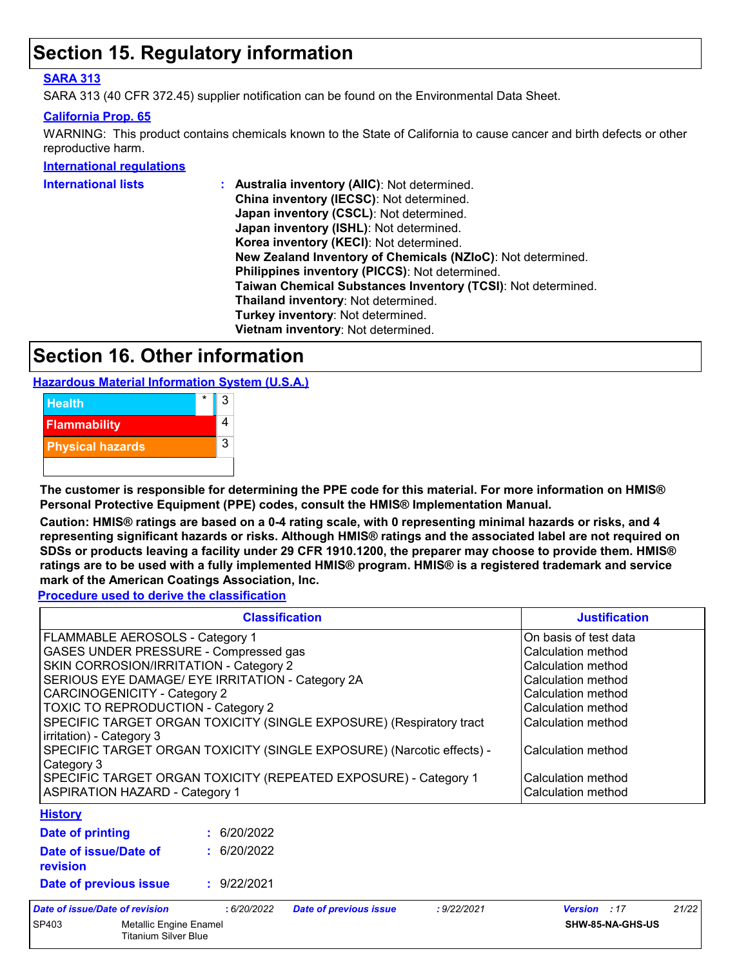### **Section 15. Regulatory information**

#### **SARA 313**

SARA 313 (40 CFR 372.45) supplier notification can be found on the Environmental Data Sheet.

#### **California Prop. 65**

WARNING: This product contains chemicals known to the State of California to cause cancer and birth defects or other reproductive harm.

**International regulations**

| China inventory (IECSC): Not determined.<br>Japan inventory (CSCL): Not determined.<br>Japan inventory (ISHL): Not determined.<br>Korea inventory (KECI): Not determined.<br>New Zealand Inventory of Chemicals (NZIoC): Not determined.<br>Philippines inventory (PICCS): Not determined.<br>Taiwan Chemical Substances Inventory (TCSI): Not determined.<br>Thailand inventory: Not determined.<br>Turkey inventory: Not determined.<br>Vietnam inventory: Not determined. | International lists | : Australia inventory (AIIC): Not determined. |
|------------------------------------------------------------------------------------------------------------------------------------------------------------------------------------------------------------------------------------------------------------------------------------------------------------------------------------------------------------------------------------------------------------------------------------------------------------------------------|---------------------|-----------------------------------------------|
|                                                                                                                                                                                                                                                                                                                                                                                                                                                                              |                     |                                               |
|                                                                                                                                                                                                                                                                                                                                                                                                                                                                              |                     |                                               |
|                                                                                                                                                                                                                                                                                                                                                                                                                                                                              |                     |                                               |
|                                                                                                                                                                                                                                                                                                                                                                                                                                                                              |                     |                                               |
|                                                                                                                                                                                                                                                                                                                                                                                                                                                                              |                     |                                               |
|                                                                                                                                                                                                                                                                                                                                                                                                                                                                              |                     |                                               |
|                                                                                                                                                                                                                                                                                                                                                                                                                                                                              |                     |                                               |
|                                                                                                                                                                                                                                                                                                                                                                                                                                                                              |                     |                                               |
|                                                                                                                                                                                                                                                                                                                                                                                                                                                                              |                     |                                               |
|                                                                                                                                                                                                                                                                                                                                                                                                                                                                              |                     |                                               |

### **Section 16. Other information**

**Hazardous Material Information System (U.S.A.)**



**The customer is responsible for determining the PPE code for this material. For more information on HMIS® Personal Protective Equipment (PPE) codes, consult the HMIS® Implementation Manual.**

**Caution: HMIS® ratings are based on a 0-4 rating scale, with 0 representing minimal hazards or risks, and 4 representing significant hazards or risks. Although HMIS® ratings and the associated label are not required on SDSs or products leaving a facility under 29 CFR 1910.1200, the preparer may choose to provide them. HMIS® ratings are to be used with a fully implemented HMIS® program. HMIS® is a registered trademark and service mark of the American Coatings Association, Inc.**

**Procedure used to derive the classification**

|                                                                                                 | <b>Classification</b> |                               |             | <b>Justification</b>  |       |
|-------------------------------------------------------------------------------------------------|-----------------------|-------------------------------|-------------|-----------------------|-------|
| FLAMMABLE AEROSOLS - Category 1                                                                 |                       |                               |             | On basis of test data |       |
| GASES UNDER PRESSURE - Compressed gas                                                           |                       |                               |             | Calculation method    |       |
| SKIN CORROSION/IRRITATION - Category 2                                                          |                       |                               |             | Calculation method    |       |
| SERIOUS EYE DAMAGE/ EYE IRRITATION - Category 2A                                                |                       |                               |             | Calculation method    |       |
| <b>CARCINOGENICITY - Category 2</b>                                                             |                       |                               |             | Calculation method    |       |
| <b>TOXIC TO REPRODUCTION - Category 2</b>                                                       |                       |                               |             | Calculation method    |       |
| SPECIFIC TARGET ORGAN TOXICITY (SINGLE EXPOSURE) (Respiratory tract<br>irritation) - Category 3 |                       |                               |             | Calculation method    |       |
| SPECIFIC TARGET ORGAN TOXICITY (SINGLE EXPOSURE) (Narcotic effects) -<br>Category 3             |                       |                               |             | Calculation method    |       |
| SPECIFIC TARGET ORGAN TOXICITY (REPEATED EXPOSURE) - Category 1                                 |                       |                               |             | Calculation method    |       |
| <b>ASPIRATION HAZARD - Category 1</b>                                                           |                       |                               |             | Calculation method    |       |
| <b>History</b>                                                                                  |                       |                               |             |                       |       |
| Date of printing                                                                                | : 6/20/2022           |                               |             |                       |       |
| Date of issue/Date of<br>revision                                                               | : 6/20/2022           |                               |             |                       |       |
| Date of previous issue                                                                          | : 9/22/2021           |                               |             |                       |       |
| Date of issue/Date of revision                                                                  | : 6/20/2022           | <b>Date of previous issue</b> | : 9/22/2021 | <b>Version</b> : 17   | 21/22 |